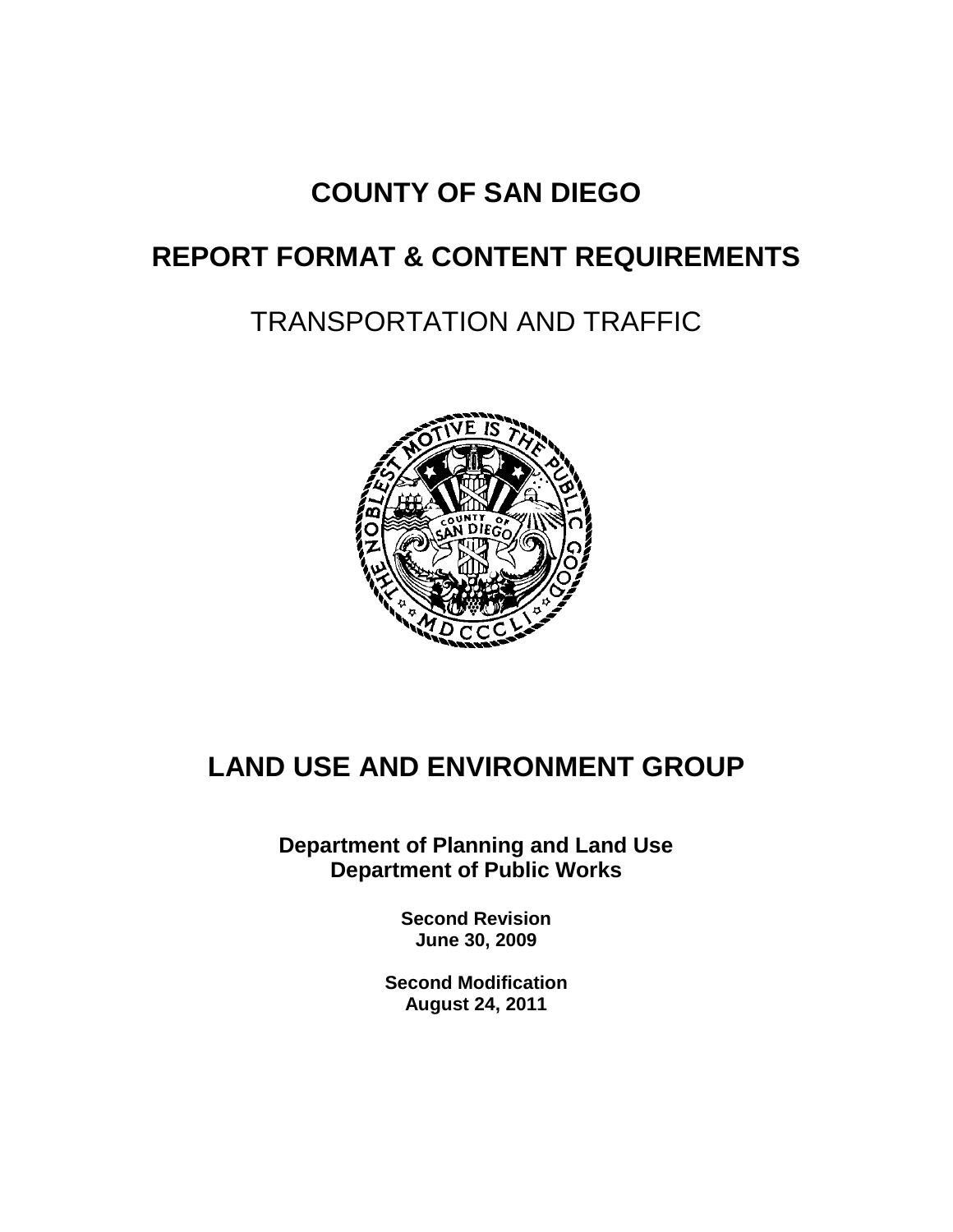## **COUNTY OF SAN DIEGO**

## **REPORT FORMAT & CONTENT REQUIREMENTS**

# TRANSPORTATION AND TRAFFIC



## **LAND USE AND ENVIRONMENT GROUP**

**Department of Planning and Land Use Department of Public Works**

> **Second Revision June 30, 2009**

**Second Modification August 24, 2011**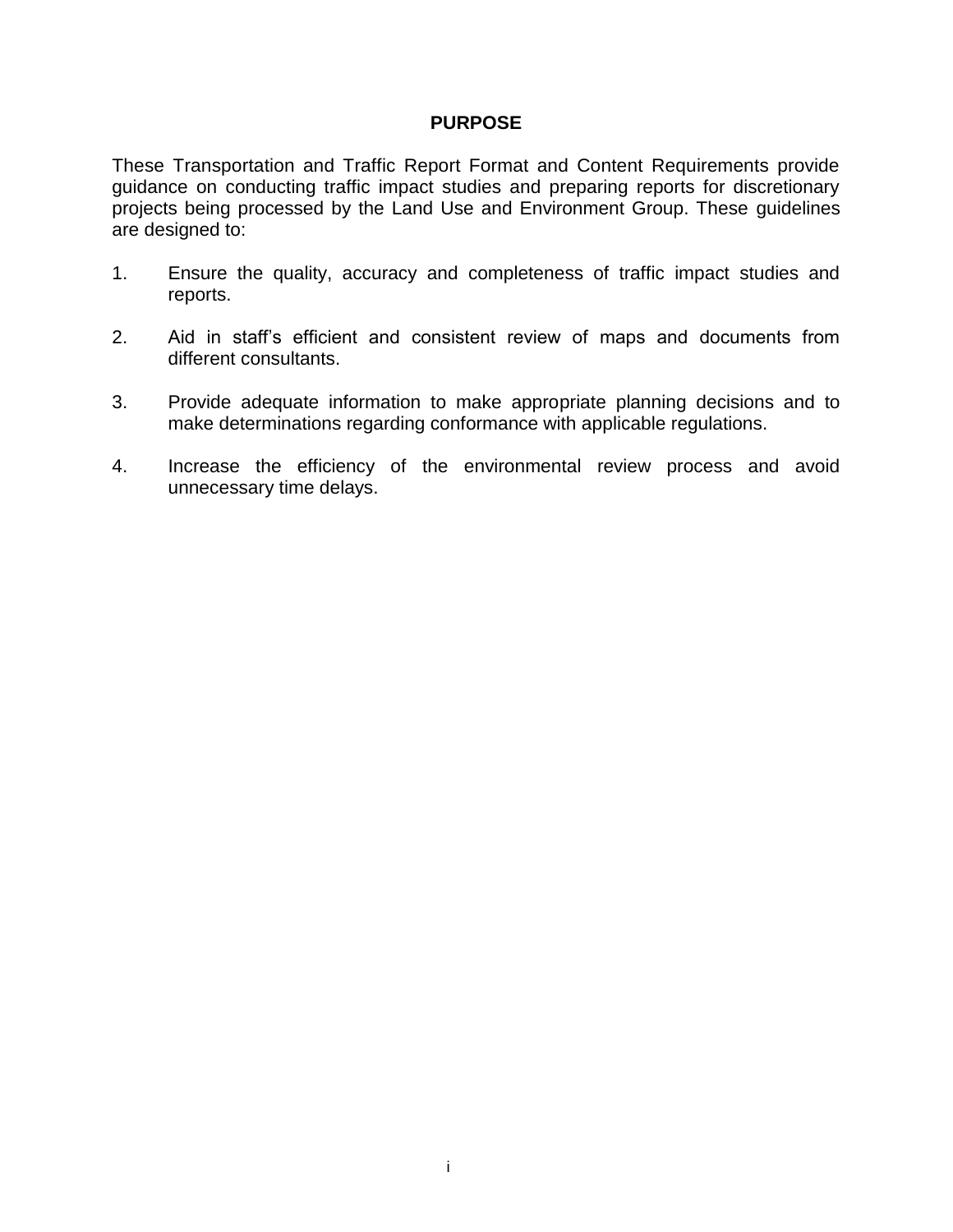#### **PURPOSE**

These Transportation and Traffic Report Format and Content Requirements provide guidance on conducting traffic impact studies and preparing reports for discretionary projects being processed by the Land Use and Environment Group. These guidelines are designed to:

- 1. Ensure the quality, accuracy and completeness of traffic impact studies and reports.
- 2. Aid in staff's efficient and consistent review of maps and documents from different consultants.
- 3. Provide adequate information to make appropriate planning decisions and to make determinations regarding conformance with applicable regulations.
- 4. Increase the efficiency of the environmental review process and avoid unnecessary time delays.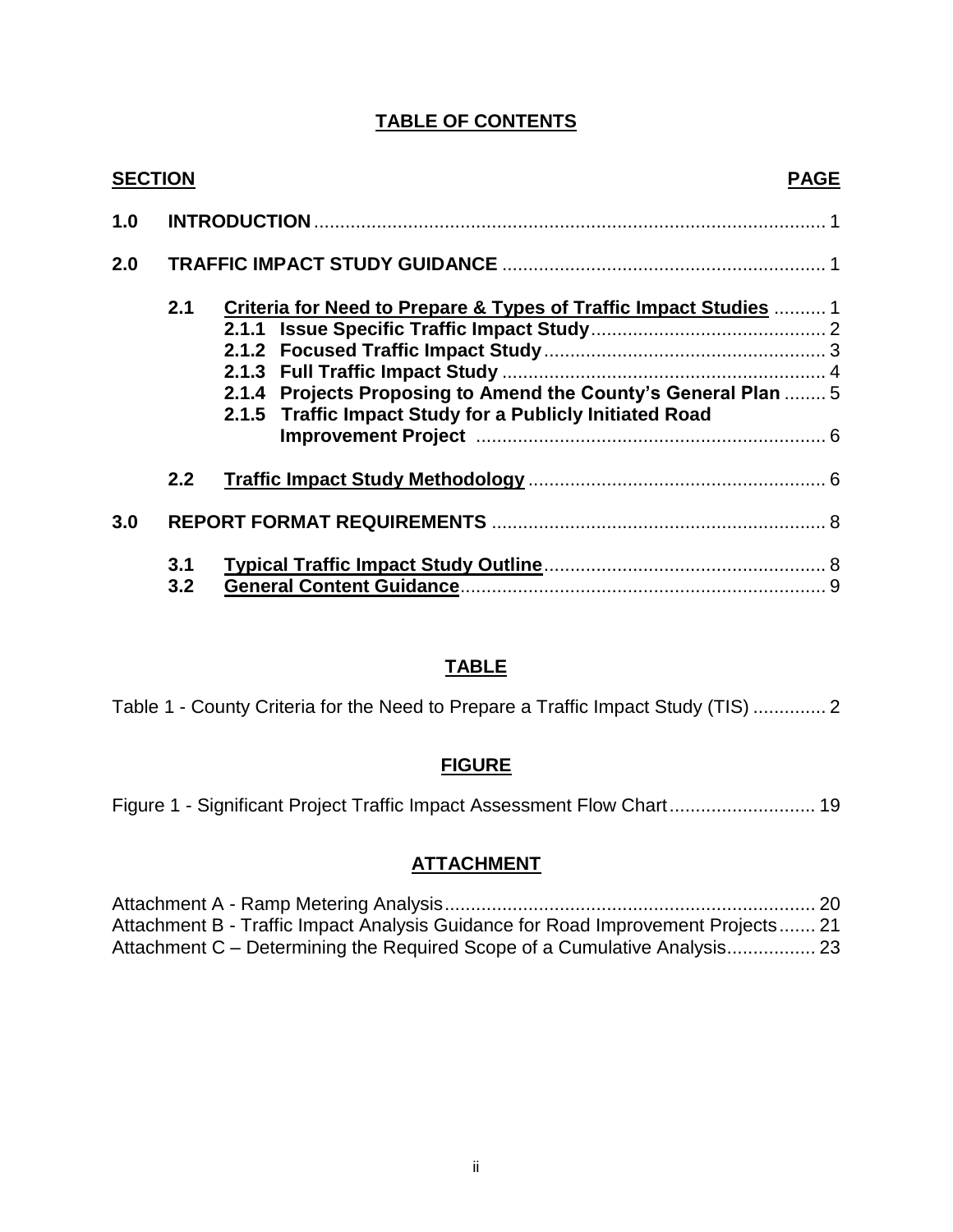#### **TABLE OF CONTENTS**

| <b>SECTION</b> |            | <b>PAGE</b>                                                       |  |  |
|----------------|------------|-------------------------------------------------------------------|--|--|
| 1.0            |            |                                                                   |  |  |
| 2.0            |            |                                                                   |  |  |
|                | 2.1        | Criteria for Need to Prepare & Types of Traffic Impact Studies  1 |  |  |
|                |            |                                                                   |  |  |
|                |            |                                                                   |  |  |
|                |            |                                                                   |  |  |
|                |            | 2.1.4 Projects Proposing to Amend the County's General Plan  5    |  |  |
|                |            | 2.1.5 Traffic Impact Study for a Publicly Initiated Road          |  |  |
|                |            |                                                                   |  |  |
|                | 2.2        |                                                                   |  |  |
| 3.0            |            |                                                                   |  |  |
|                | 3.1<br>3.2 |                                                                   |  |  |

#### **TABLE**

Table 1 - County Criteria for the Need to Prepare a Traffic Impact Study (TIS) .............. 2

#### **FIGURE**

Figure 1 - Significant Project Traffic Impact Assessment Flow Chart............................ 19

#### **ATTACHMENT**

Attachment A - Ramp Metering Analysis....................................................................... 20 Attachment B - Traffic Impact Analysis Guidance for Road Improvement Projects....... 21 Attachment C – Determining the Required Scope of a Cumulative Analysis................. 23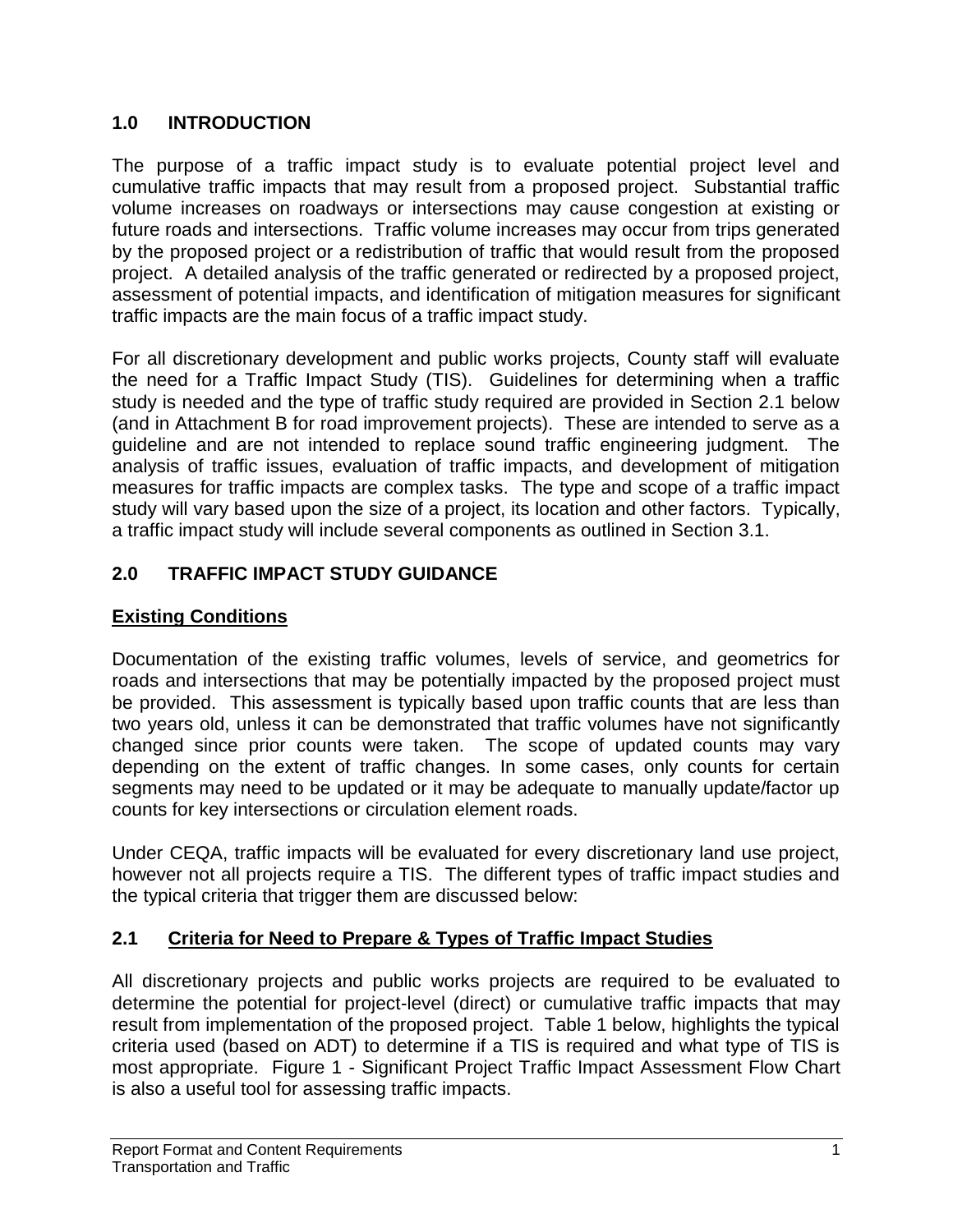### **1.0 INTRODUCTION**

The purpose of a traffic impact study is to evaluate potential project level and cumulative traffic impacts that may result from a proposed project. Substantial traffic volume increases on roadways or intersections may cause congestion at existing or future roads and intersections. Traffic volume increases may occur from trips generated by the proposed project or a redistribution of traffic that would result from the proposed project. A detailed analysis of the traffic generated or redirected by a proposed project, assessment of potential impacts, and identification of mitigation measures for significant traffic impacts are the main focus of a traffic impact study.

For all discretionary development and public works projects, County staff will evaluate the need for a Traffic Impact Study (TIS). Guidelines for determining when a traffic study is needed and the type of traffic study required are provided in Section 2.1 below (and in Attachment B for road improvement projects). These are intended to serve as a guideline and are not intended to replace sound traffic engineering judgment. The analysis of traffic issues, evaluation of traffic impacts, and development of mitigation measures for traffic impacts are complex tasks. The type and scope of a traffic impact study will vary based upon the size of a project, its location and other factors. Typically, a traffic impact study will include several components as outlined in Section 3.1.

## **2.0 TRAFFIC IMPACT STUDY GUIDANCE**

## **Existing Conditions**

Documentation of the existing traffic volumes, levels of service, and geometrics for roads and intersections that may be potentially impacted by the proposed project must be provided. This assessment is typically based upon traffic counts that are less than two years old, unless it can be demonstrated that traffic volumes have not significantly changed since prior counts were taken. The scope of updated counts may vary depending on the extent of traffic changes. In some cases, only counts for certain segments may need to be updated or it may be adequate to manually update/factor up counts for key intersections or circulation element roads.

Under CEQA, traffic impacts will be evaluated for every discretionary land use project, however not all projects require a TIS. The different types of traffic impact studies and the typical criteria that trigger them are discussed below:

## **2.1 Criteria for Need to Prepare & Types of Traffic Impact Studies**

All discretionary projects and public works projects are required to be evaluated to determine the potential for project-level (direct) or cumulative traffic impacts that may result from implementation of the proposed project. Table 1 below, highlights the typical criteria used (based on ADT) to determine if a TIS is required and what type of TIS is most appropriate. Figure 1 - Significant Project Traffic Impact Assessment Flow Chart is also a useful tool for assessing traffic impacts.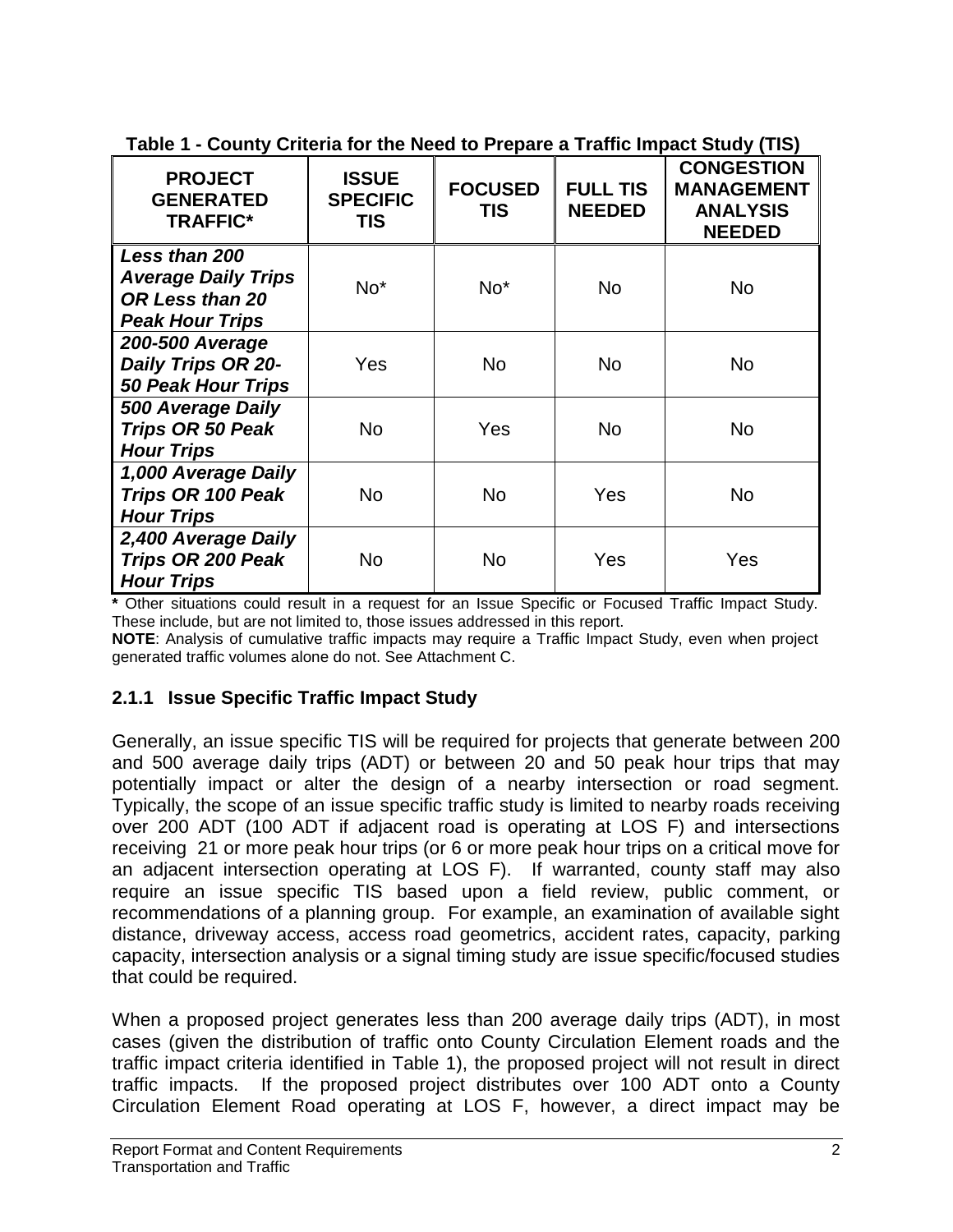| <b>PROJECT</b><br><b>GENERATED</b><br><b>TRAFFIC*</b>                                    | <b>ISSUE</b><br><b>SPECIFIC</b><br>TIS | <b>FOCUSED</b><br>TIS | <b>FULL TIS</b><br><b>NEEDED</b> | $\bullet$ . Notice that the reduced to the pair of the final mapping $\bullet$ . The pair of $\bullet$<br><b>CONGESTION</b><br><b>MANAGEMENT</b><br><b>ANALYSIS</b><br><b>NEEDED</b> |
|------------------------------------------------------------------------------------------|----------------------------------------|-----------------------|----------------------------------|--------------------------------------------------------------------------------------------------------------------------------------------------------------------------------------|
| Less than 200<br><b>Average Daily Trips</b><br>OR Less than 20<br><b>Peak Hour Trips</b> | $No*$                                  | No*                   | No                               | No                                                                                                                                                                                   |
| <b>200-500 Average</b><br>Daily Trips OR 20-<br><b>50 Peak Hour Trips</b>                | Yes                                    | <b>No</b>             | <b>No</b>                        | <b>No</b>                                                                                                                                                                            |
| 500 Average Daily<br><b>Trips OR 50 Peak</b><br><b>Hour Trips</b>                        | <b>No</b>                              | Yes                   | <b>No</b>                        | No                                                                                                                                                                                   |
| 1,000 Average Daily<br>Trips OR 100 Peak<br><b>Hour Trips</b>                            | <b>No</b>                              | <b>No</b>             | Yes                              | <b>No</b>                                                                                                                                                                            |
| 2,400 Average Daily<br>Trips OR 200 Peak<br><b>Hour Trips</b>                            | No                                     | No                    | Yes                              | Yes                                                                                                                                                                                  |

**Table 1 - County Criteria for the Need to Prepare a Traffic Impact Study (TIS)**

**\*** Other situations could result in a request for an Issue Specific or Focused Traffic Impact Study. These include, but are not limited to, those issues addressed in this report.

**NOTE**: Analysis of cumulative traffic impacts may require a Traffic Impact Study, even when project generated traffic volumes alone do not. See Attachment C.

## **2.1.1 Issue Specific Traffic Impact Study**

Generally, an issue specific TIS will be required for projects that generate between 200 and 500 average daily trips (ADT) or between 20 and 50 peak hour trips that may potentially impact or alter the design of a nearby intersection or road segment. Typically, the scope of an issue specific traffic study is limited to nearby roads receiving over 200 ADT (100 ADT if adjacent road is operating at LOS F) and intersections receiving 21 or more peak hour trips (or 6 or more peak hour trips on a critical move for an adjacent intersection operating at LOS F). If warranted, county staff may also require an issue specific TIS based upon a field review, public comment, or recommendations of a planning group. For example, an examination of available sight distance, driveway access, access road geometrics, accident rates, capacity, parking capacity, intersection analysis or a signal timing study are issue specific/focused studies that could be required.

When a proposed project generates less than 200 average daily trips (ADT), in most cases (given the distribution of traffic onto County Circulation Element roads and the traffic impact criteria identified in Table 1), the proposed project will not result in direct traffic impacts. If the proposed project distributes over 100 ADT onto a County Circulation Element Road operating at LOS F, however, a direct impact may be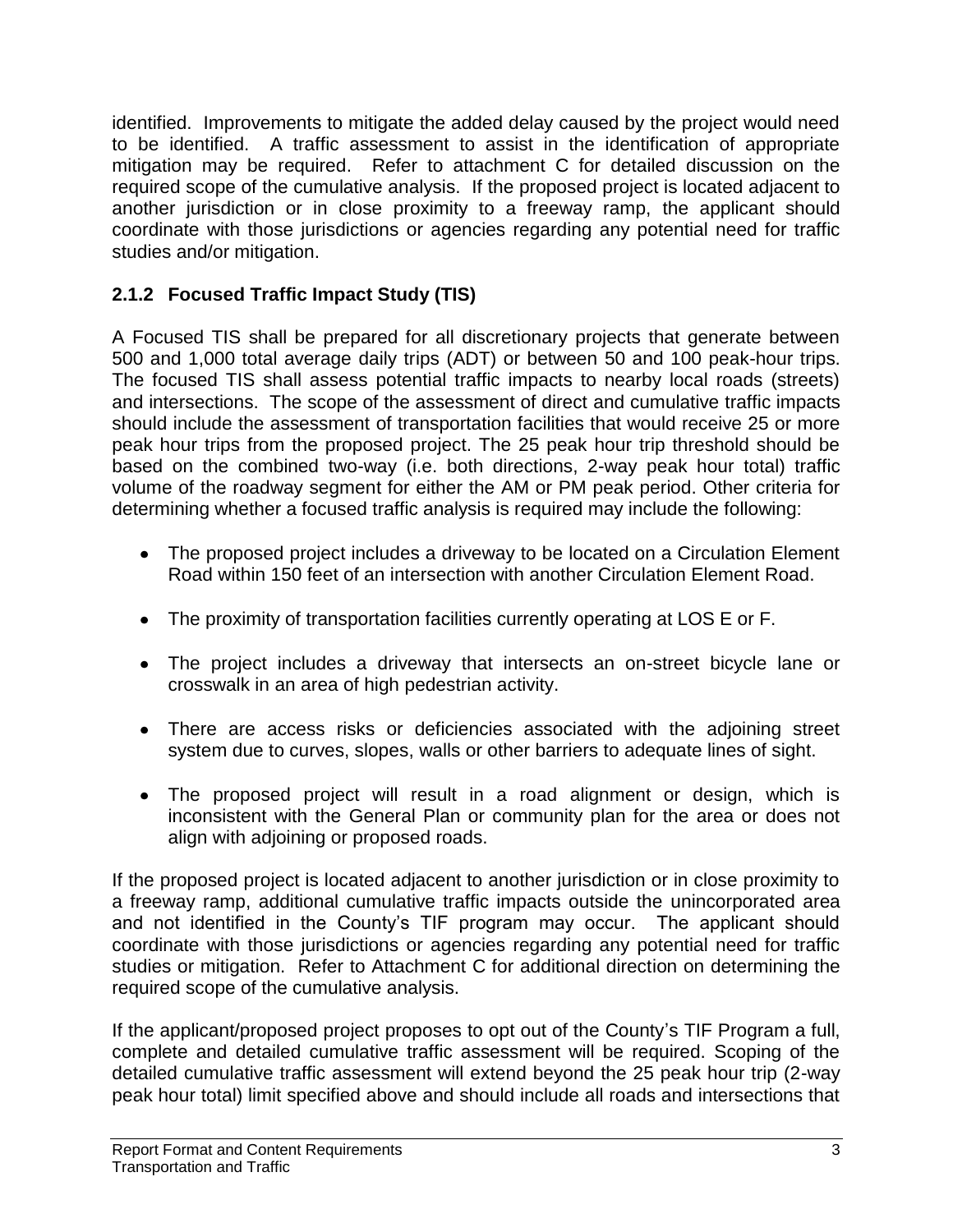identified. Improvements to mitigate the added delay caused by the project would need to be identified. A traffic assessment to assist in the identification of appropriate mitigation may be required. Refer to attachment C for detailed discussion on the required scope of the cumulative analysis. If the proposed project is located adjacent to another jurisdiction or in close proximity to a freeway ramp, the applicant should coordinate with those jurisdictions or agencies regarding any potential need for traffic studies and/or mitigation.

## **2.1.2 Focused Traffic Impact Study (TIS)**

A Focused TIS shall be prepared for all discretionary projects that generate between 500 and 1,000 total average daily trips (ADT) or between 50 and 100 peak-hour trips. The focused TIS shall assess potential traffic impacts to nearby local roads (streets) and intersections. The scope of the assessment of direct and cumulative traffic impacts should include the assessment of transportation facilities that would receive 25 or more peak hour trips from the proposed project. The 25 peak hour trip threshold should be based on the combined two-way (i.e. both directions, 2-way peak hour total) traffic volume of the roadway segment for either the AM or PM peak period. Other criteria for determining whether a focused traffic analysis is required may include the following:

- The proposed project includes a driveway to be located on a Circulation Element Road within 150 feet of an intersection with another Circulation Element Road.
- The proximity of transportation facilities currently operating at LOS E or F.
- The project includes a driveway that intersects an on-street bicycle lane or crosswalk in an area of high pedestrian activity.
- There are access risks or deficiencies associated with the adjoining street system due to curves, slopes, walls or other barriers to adequate lines of sight.
- The proposed project will result in a road alignment or design, which is inconsistent with the General Plan or community plan for the area or does not align with adjoining or proposed roads.

If the proposed project is located adjacent to another jurisdiction or in close proximity to a freeway ramp, additional cumulative traffic impacts outside the unincorporated area and not identified in the County's TIF program may occur. The applicant should coordinate with those jurisdictions or agencies regarding any potential need for traffic studies or mitigation. Refer to Attachment C for additional direction on determining the required scope of the cumulative analysis.

If the applicant/proposed project proposes to opt out of the County's TIF Program a full, complete and detailed cumulative traffic assessment will be required. Scoping of the detailed cumulative traffic assessment will extend beyond the 25 peak hour trip (2-way peak hour total) limit specified above and should include all roads and intersections that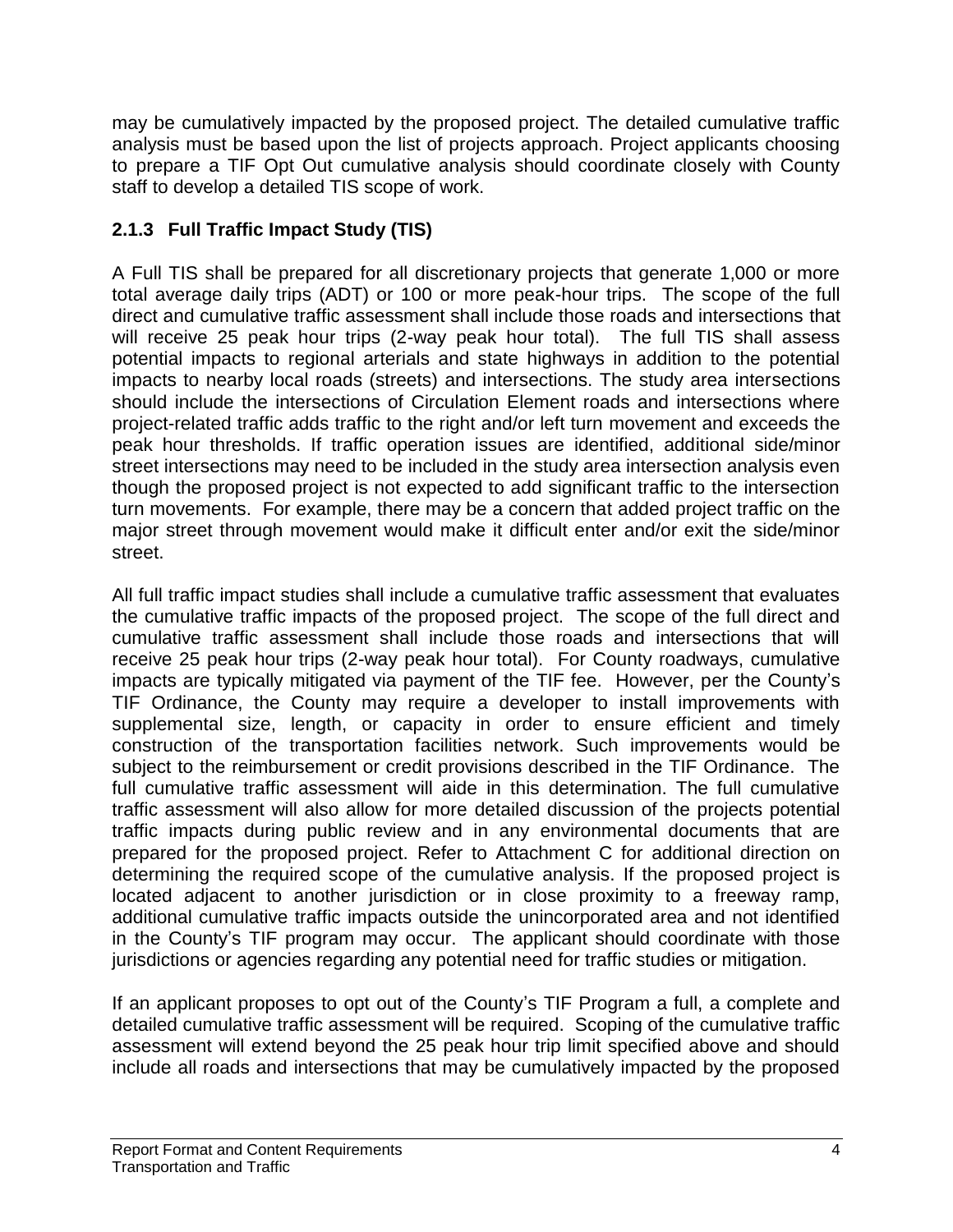may be cumulatively impacted by the proposed project. The detailed cumulative traffic analysis must be based upon the list of projects approach. Project applicants choosing to prepare a TIF Opt Out cumulative analysis should coordinate closely with County staff to develop a detailed TIS scope of work.

## **2.1.3 Full Traffic Impact Study (TIS)**

A Full TIS shall be prepared for all discretionary projects that generate 1,000 or more total average daily trips (ADT) or 100 or more peak-hour trips. The scope of the full direct and cumulative traffic assessment shall include those roads and intersections that will receive 25 peak hour trips (2-way peak hour total). The full TIS shall assess potential impacts to regional arterials and state highways in addition to the potential impacts to nearby local roads (streets) and intersections. The study area intersections should include the intersections of Circulation Element roads and intersections where project-related traffic adds traffic to the right and/or left turn movement and exceeds the peak hour thresholds. If traffic operation issues are identified, additional side/minor street intersections may need to be included in the study area intersection analysis even though the proposed project is not expected to add significant traffic to the intersection turn movements. For example, there may be a concern that added project traffic on the major street through movement would make it difficult enter and/or exit the side/minor street.

All full traffic impact studies shall include a cumulative traffic assessment that evaluates the cumulative traffic impacts of the proposed project. The scope of the full direct and cumulative traffic assessment shall include those roads and intersections that will receive 25 peak hour trips (2-way peak hour total). For County roadways, cumulative impacts are typically mitigated via payment of the TIF fee. However, per the County's TIF Ordinance, the County may require a developer to install improvements with supplemental size, length, or capacity in order to ensure efficient and timely construction of the transportation facilities network. Such improvements would be subject to the reimbursement or credit provisions described in the TIF Ordinance. The full cumulative traffic assessment will aide in this determination. The full cumulative traffic assessment will also allow for more detailed discussion of the projects potential traffic impacts during public review and in any environmental documents that are prepared for the proposed project. Refer to Attachment C for additional direction on determining the required scope of the cumulative analysis. If the proposed project is located adjacent to another jurisdiction or in close proximity to a freeway ramp, additional cumulative traffic impacts outside the unincorporated area and not identified in the County's TIF program may occur. The applicant should coordinate with those jurisdictions or agencies regarding any potential need for traffic studies or mitigation.

If an applicant proposes to opt out of the County's TIF Program a full, a complete and detailed cumulative traffic assessment will be required. Scoping of the cumulative traffic assessment will extend beyond the 25 peak hour trip limit specified above and should include all roads and intersections that may be cumulatively impacted by the proposed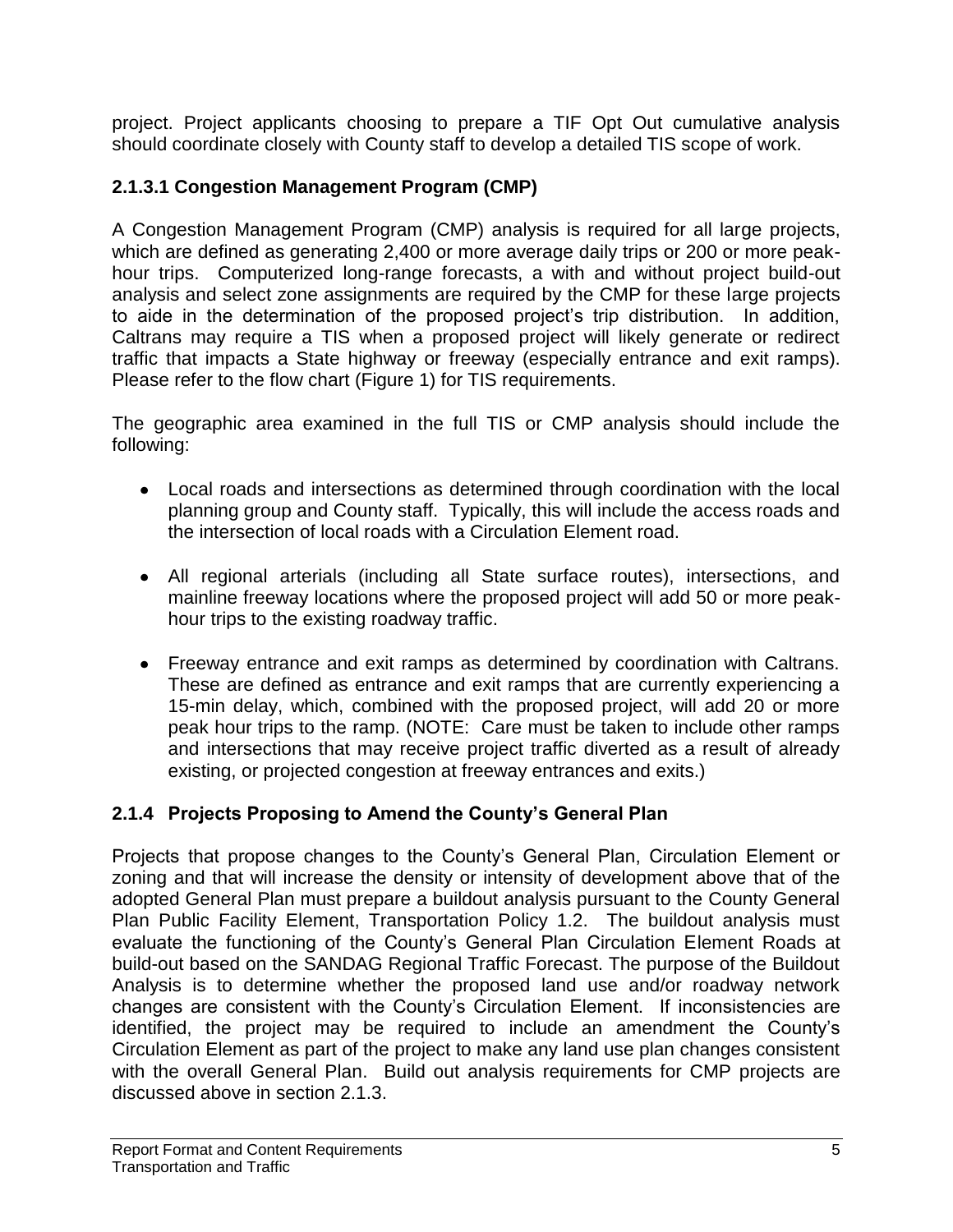project. Project applicants choosing to prepare a TIF Opt Out cumulative analysis should coordinate closely with County staff to develop a detailed TIS scope of work.

## **2.1.3.1 Congestion Management Program (CMP)**

A Congestion Management Program (CMP) analysis is required for all large projects, which are defined as generating 2,400 or more average daily trips or 200 or more peakhour trips. Computerized long-range forecasts, a with and without project build-out analysis and select zone assignments are required by the CMP for these large projects to aide in the determination of the proposed project's trip distribution. In addition, Caltrans may require a TIS when a proposed project will likely generate or redirect traffic that impacts a State highway or freeway (especially entrance and exit ramps). Please refer to the flow chart (Figure 1) for TIS requirements.

The geographic area examined in the full TIS or CMP analysis should include the following:

- Local roads and intersections as determined through coordination with the local planning group and County staff. Typically, this will include the access roads and the intersection of local roads with a Circulation Element road.
- All regional arterials (including all State surface routes), intersections, and mainline freeway locations where the proposed project will add 50 or more peakhour trips to the existing roadway traffic.
- Freeway entrance and exit ramps as determined by coordination with Caltrans. These are defined as entrance and exit ramps that are currently experiencing a 15-min delay, which, combined with the proposed project, will add 20 or more peak hour trips to the ramp. (NOTE: Care must be taken to include other ramps and intersections that may receive project traffic diverted as a result of already existing, or projected congestion at freeway entrances and exits.)

## **2.1.4 Projects Proposing to Amend the County's General Plan**

Projects that propose changes to the County's General Plan, Circulation Element or zoning and that will increase the density or intensity of development above that of the adopted General Plan must prepare a buildout analysis pursuant to the County General Plan Public Facility Element, Transportation Policy 1.2. The buildout analysis must evaluate the functioning of the County's General Plan Circulation Element Roads at build-out based on the SANDAG Regional Traffic Forecast. The purpose of the Buildout Analysis is to determine whether the proposed land use and/or roadway network changes are consistent with the County's Circulation Element. If inconsistencies are identified, the project may be required to include an amendment the County's Circulation Element as part of the project to make any land use plan changes consistent with the overall General Plan. Build out analysis requirements for CMP projects are discussed above in section 2.1.3.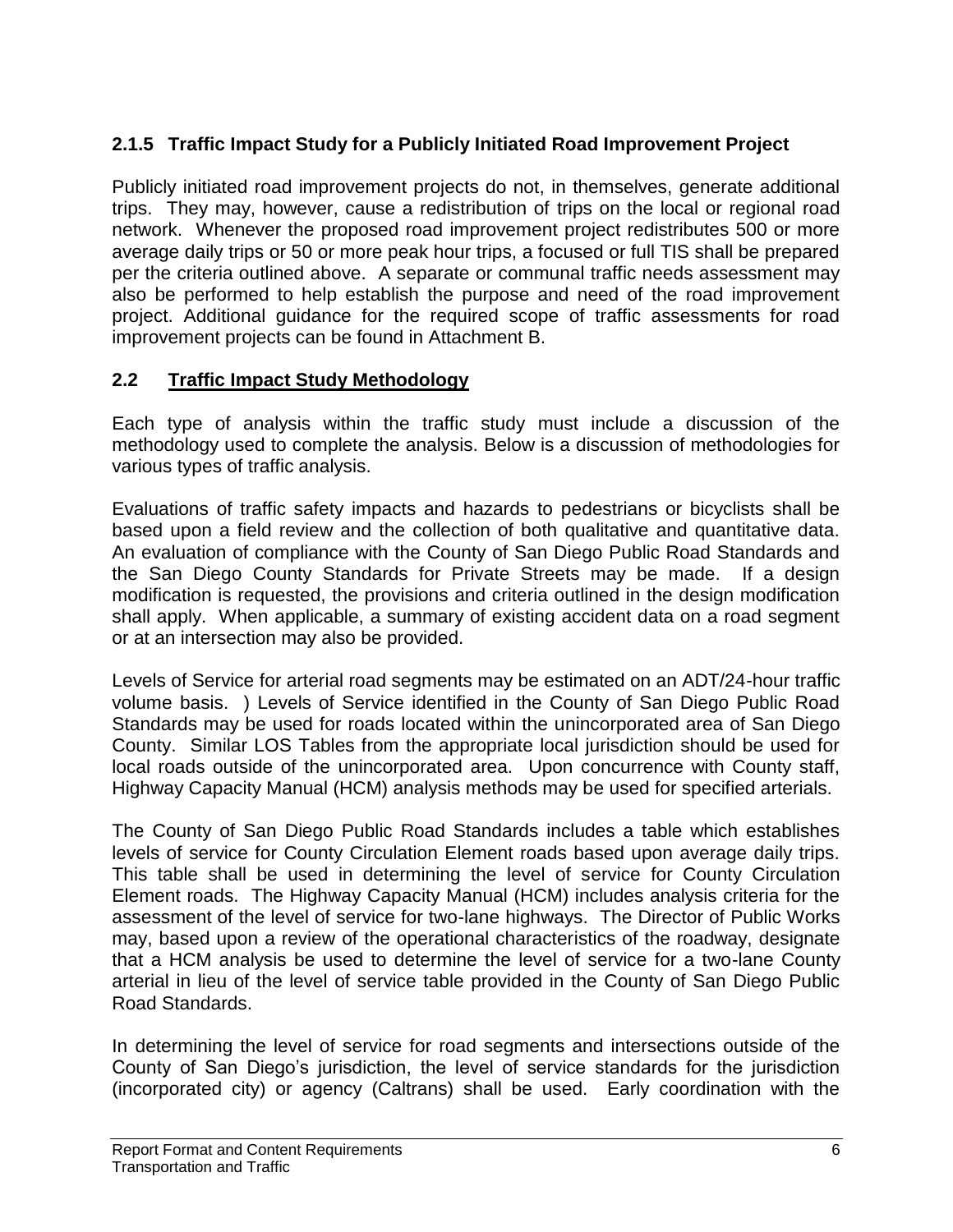## **2.1.5 Traffic Impact Study for a Publicly Initiated Road Improvement Project**

Publicly initiated road improvement projects do not, in themselves, generate additional trips. They may, however, cause a redistribution of trips on the local or regional road network. Whenever the proposed road improvement project redistributes 500 or more average daily trips or 50 or more peak hour trips, a focused or full TIS shall be prepared per the criteria outlined above. A separate or communal traffic needs assessment may also be performed to help establish the purpose and need of the road improvement project. Additional guidance for the required scope of traffic assessments for road improvement projects can be found in Attachment B.

### **2.2 Traffic Impact Study Methodology**

Each type of analysis within the traffic study must include a discussion of the methodology used to complete the analysis. Below is a discussion of methodologies for various types of traffic analysis.

Evaluations of traffic safety impacts and hazards to pedestrians or bicyclists shall be based upon a field review and the collection of both qualitative and quantitative data. An evaluation of compliance with the County of San Diego Public Road Standards and the San Diego County Standards for Private Streets may be made. If a design modification is requested, the provisions and criteria outlined in the design modification shall apply. When applicable, a summary of existing accident data on a road segment or at an intersection may also be provided.

Levels of Service for arterial road segments may be estimated on an ADT/24-hour traffic volume basis. ) Levels of Service identified in the County of San Diego Public Road Standards may be used for roads located within the unincorporated area of San Diego County. Similar LOS Tables from the appropriate local jurisdiction should be used for local roads outside of the unincorporated area. Upon concurrence with County staff, Highway Capacity Manual (HCM) analysis methods may be used for specified arterials.

The County of San Diego Public Road Standards includes a table which establishes levels of service for County Circulation Element roads based upon average daily trips. This table shall be used in determining the level of service for County Circulation Element roads. The Highway Capacity Manual (HCM) includes analysis criteria for the assessment of the level of service for two-lane highways. The Director of Public Works may, based upon a review of the operational characteristics of the roadway, designate that a HCM analysis be used to determine the level of service for a two-lane County arterial in lieu of the level of service table provided in the County of San Diego Public Road Standards.

In determining the level of service for road segments and intersections outside of the County of San Diego's jurisdiction, the level of service standards for the jurisdiction (incorporated city) or agency (Caltrans) shall be used. Early coordination with the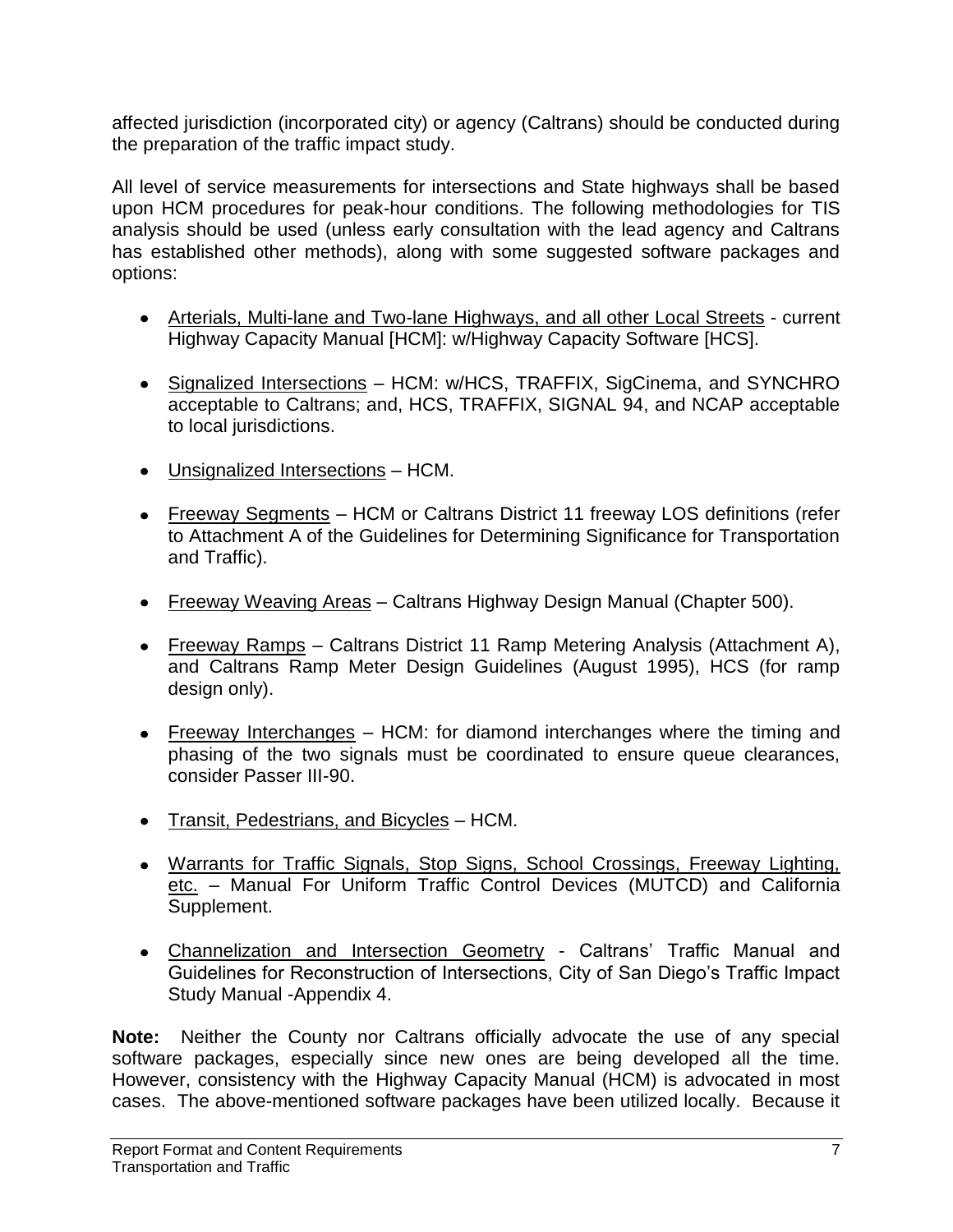affected jurisdiction (incorporated city) or agency (Caltrans) should be conducted during the preparation of the traffic impact study.

All level of service measurements for intersections and State highways shall be based upon HCM procedures for peak-hour conditions. The following methodologies for TIS analysis should be used (unless early consultation with the lead agency and Caltrans has established other methods), along with some suggested software packages and options:

- Arterials, Multi-lane and Two-lane Highways, and all other Local Streets current Highway Capacity Manual [HCM]: w/Highway Capacity Software [HCS].
- Signalized Intersections HCM: w/HCS, TRAFFIX, SigCinema, and SYNCHRO acceptable to Caltrans; and, HCS, TRAFFIX, SIGNAL 94, and NCAP acceptable to local jurisdictions.
- Unsignalized Intersections HCM.
- Freeway Segments HCM or Caltrans District 11 freeway LOS definitions (refer to Attachment A of the Guidelines for Determining Significance for Transportation and Traffic).
- Freeway Weaving Areas Caltrans Highway Design Manual (Chapter 500).
- Freeway Ramps Caltrans District 11 Ramp Metering Analysis (Attachment A), and Caltrans Ramp Meter Design Guidelines (August 1995), HCS (for ramp design only).
- Freeway Interchanges HCM: for diamond interchanges where the timing and phasing of the two signals must be coordinated to ensure queue clearances, consider Passer III-90.
- Transit, Pedestrians, and Bicycles HCM.
- Warrants for Traffic Signals, Stop Signs, School Crossings, Freeway Lighting, etc. – Manual For Uniform Traffic Control Devices (MUTCD) and California Supplement.
- Channelization and Intersection Geometry Caltrans' Traffic Manual and Guidelines for Reconstruction of Intersections, City of San Diego's Traffic Impact Study Manual -Appendix 4.

**Note:** Neither the County nor Caltrans officially advocate the use of any special software packages, especially since new ones are being developed all the time. However, consistency with the Highway Capacity Manual (HCM) is advocated in most cases. The above-mentioned software packages have been utilized locally. Because it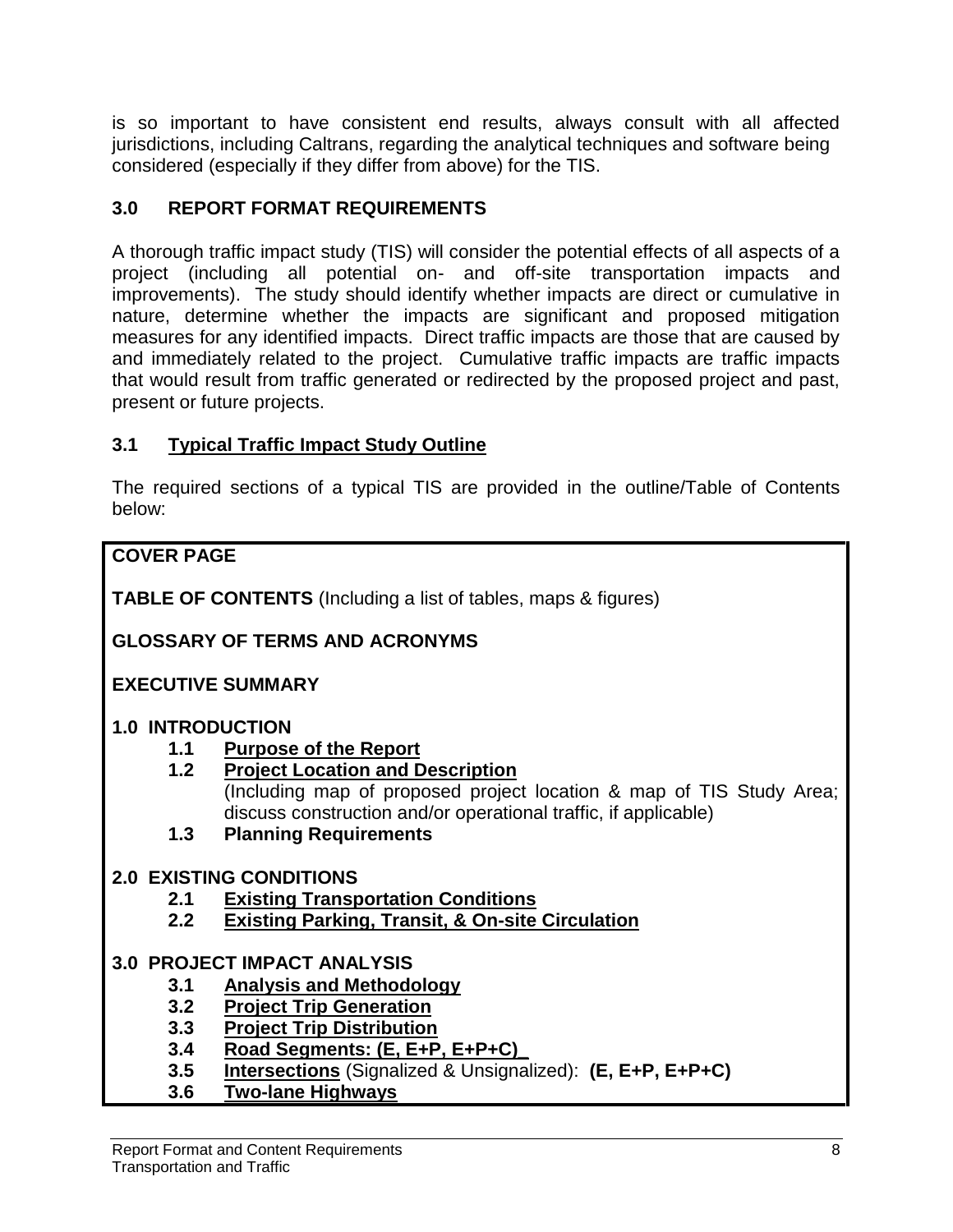is so important to have consistent end results, always consult with all affected jurisdictions, including Caltrans, regarding the analytical techniques and software being considered (especially if they differ from above) for the TIS.

## **3.0 REPORT FORMAT REQUIREMENTS**

A thorough traffic impact study (TIS) will consider the potential effects of all aspects of a project (including all potential on- and off-site transportation impacts and improvements). The study should identify whether impacts are direct or cumulative in nature, determine whether the impacts are significant and proposed mitigation measures for any identified impacts. Direct traffic impacts are those that are caused by and immediately related to the project. Cumulative traffic impacts are traffic impacts that would result from traffic generated or redirected by the proposed project and past, present or future projects.

## **3.1 Typical Traffic Impact Study Outline**

The required sections of a typical TIS are provided in the outline/Table of Contents below:

## **COVER PAGE**

**TABLE OF CONTENTS** (Including a list of tables, maps & figures)

## **GLOSSARY OF TERMS AND ACRONYMS**

### **EXECUTIVE SUMMARY**

### **1.0 INTRODUCTION**

- **1.1 Purpose of the Report**
- **1.2 Project Location and Description**  (Including map of proposed project location & map of TIS Study Area; discuss construction and/or operational traffic, if applicable)

### **1.3 Planning Requirements**

### **2.0 EXISTING CONDITIONS**

- **2.1 Existing Transportation Conditions**
- **2.2 Existing Parking, Transit, & On-site Circulation**

### **3.0 PROJECT IMPACT ANALYSIS**

- **3.1 Analysis and Methodology**
- **3.2 Project Trip Generation**
- **3.3 Project Trip Distribution**
- **3.4 Road Segments: (E, E+P, E+P+C)\_**
- **3.5 Intersections** (Signalized & Unsignalized): **(E, E+P, E+P+C)**
- **3.6 Two-lane Highways**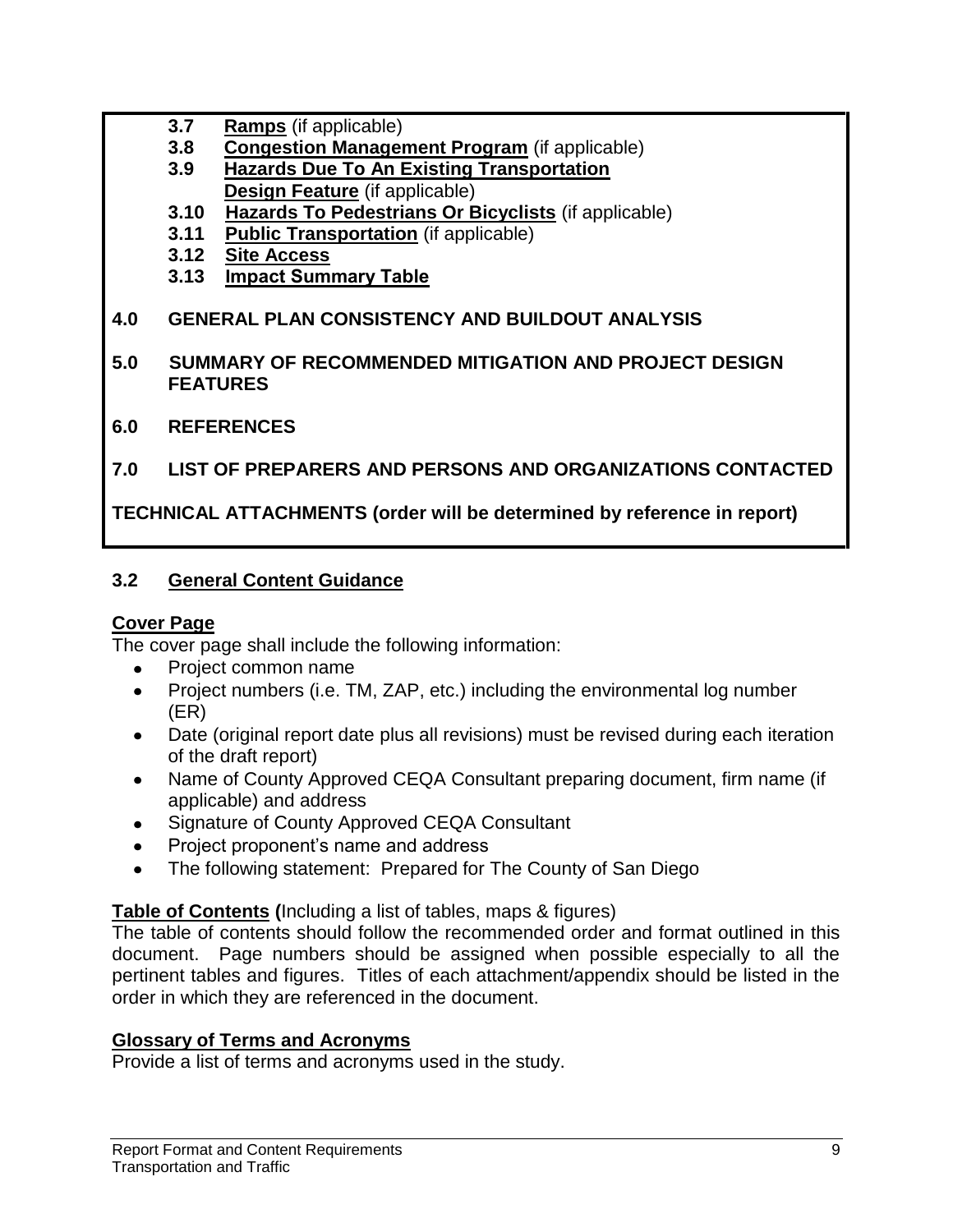- **3.7 Ramps** (if applicable)
- **3.8 Congestion Management Program** (if applicable)
- **3.9 Hazards Due To An Existing Transportation Design Feature** (if applicable)
- **3.10 Hazards To Pedestrians Or Bicyclists** (if applicable)
- **3.11 Public Transportation** (if applicable)
- **3.12 Site Access**
- **3.13 Impact Summary Table**

## **4.0 GENERAL PLAN CONSISTENCY AND BUILDOUT ANALYSIS**

- **5.0 SUMMARY OF RECOMMENDED MITIGATION AND PROJECT DESIGN FEATURES**
- **6.0 REFERENCES**
- **7.0 LIST OF PREPARERS AND PERSONS AND ORGANIZATIONS CONTACTED**

## **TECHNICAL ATTACHMENTS (order will be determined by reference in report)**

## **3.2 General Content Guidance**

### **Cover Page**

The cover page shall include the following information:

- Project common name  $\bullet$
- Project numbers (i.e. TM, ZAP, etc.) including the environmental log number  $\bullet$ (ER)
- Date (original report date plus all revisions) must be revised during each iteration of the draft report)
- Name of County Approved CEQA Consultant preparing document, firm name (if applicable) and address
- Signature of County Approved CEQA Consultant
- Project proponent's name and address
- The following statement: Prepared for The County of San Diego

### **Table of Contents (**Including a list of tables, maps & figures)

The table of contents should follow the recommended order and format outlined in this document. Page numbers should be assigned when possible especially to all the pertinent tables and figures. Titles of each attachment/appendix should be listed in the order in which they are referenced in the document.

### **Glossary of Terms and Acronyms**

Provide a list of terms and acronyms used in the study.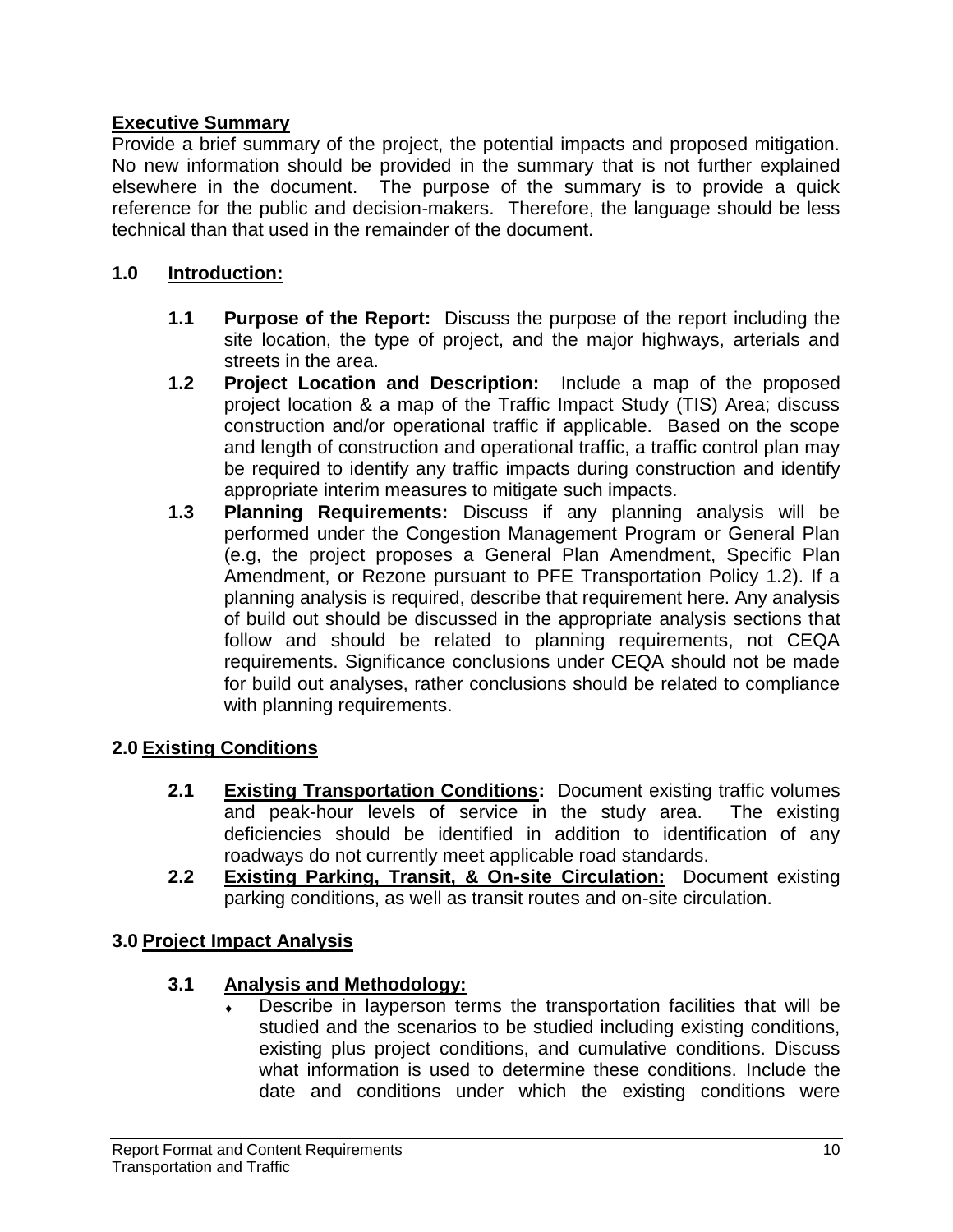#### **Executive Summary**

Provide a brief summary of the project, the potential impacts and proposed mitigation. No new information should be provided in the summary that is not further explained elsewhere in the document. The purpose of the summary is to provide a quick reference for the public and decision-makers. Therefore, the language should be less technical than that used in the remainder of the document.

#### **1.0 Introduction:**

- **1.1 Purpose of the Report:** Discuss the purpose of the report including the site location, the type of project, and the major highways, arterials and streets in the area.
- **1.2 Project Location and Description:** Include a map of the proposed project location & a map of the Traffic Impact Study (TIS) Area; discuss construction and/or operational traffic if applicable. Based on the scope and length of construction and operational traffic, a traffic control plan may be required to identify any traffic impacts during construction and identify appropriate interim measures to mitigate such impacts.
- **1.3 Planning Requirements:** Discuss if any planning analysis will be performed under the Congestion Management Program or General Plan (e.g, the project proposes a General Plan Amendment, Specific Plan Amendment, or Rezone pursuant to PFE Transportation Policy 1.2). If a planning analysis is required, describe that requirement here. Any analysis of build out should be discussed in the appropriate analysis sections that follow and should be related to planning requirements, not CEQA requirements. Significance conclusions under CEQA should not be made for build out analyses, rather conclusions should be related to compliance with planning requirements.

### **2.0 Existing Conditions**

- **2.1 Existing Transportation Conditions:** Document existing traffic volumes and peak-hour levels of service in the study area. The existing deficiencies should be identified in addition to identification of any roadways do not currently meet applicable road standards.
- **2.2 Existing Parking, Transit, & On-site Circulation:** Document existing parking conditions, as well as transit routes and on-site circulation.

#### **3.0 Project Impact Analysis**

#### **3.1 Analysis and Methodology:**

Describe in layperson terms the transportation facilities that will be studied and the scenarios to be studied including existing conditions, existing plus project conditions, and cumulative conditions. Discuss what information is used to determine these conditions. Include the date and conditions under which the existing conditions were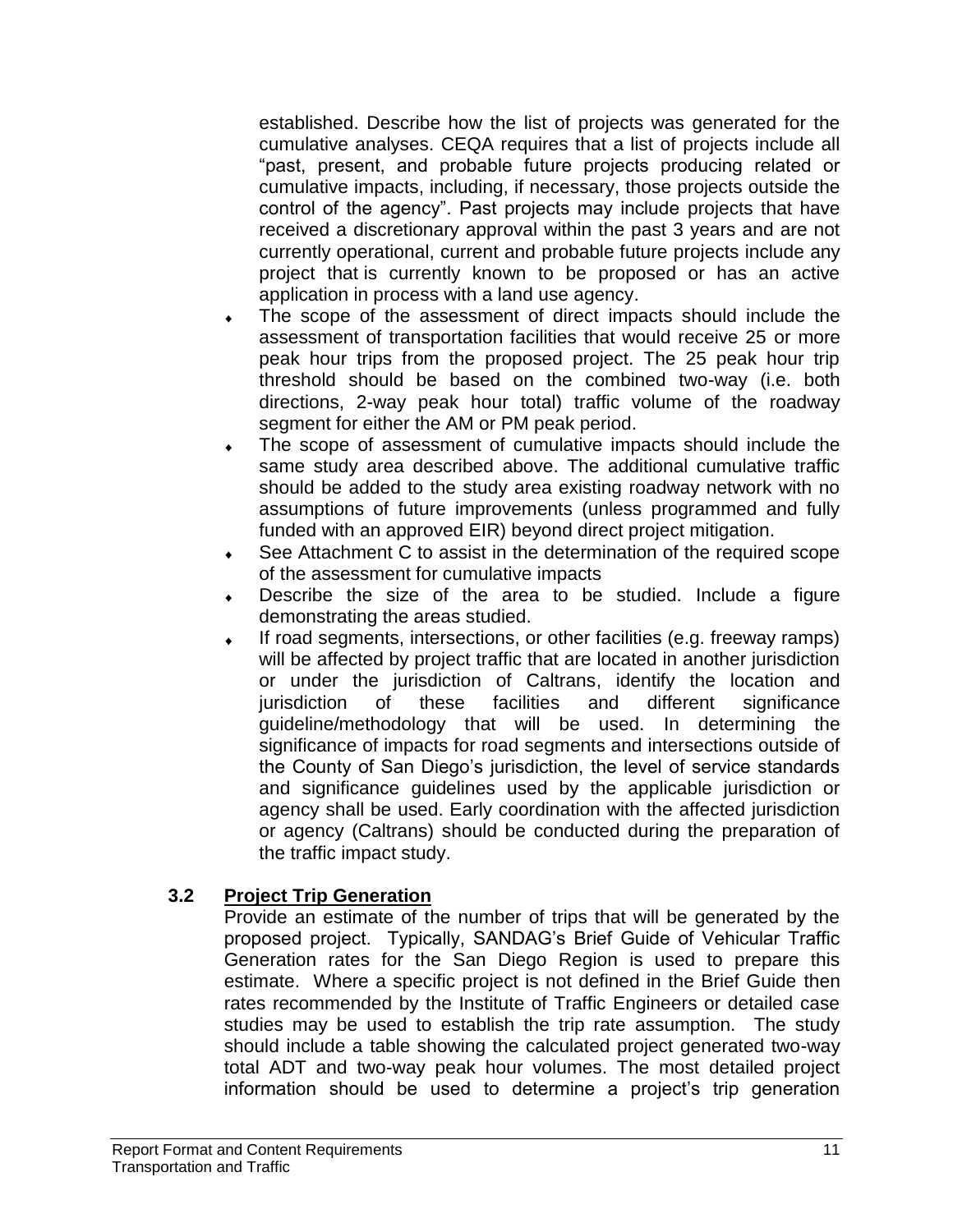established. Describe how the list of projects was generated for the cumulative analyses. CEQA requires that a list of projects include all "past, present, and probable future projects producing related or cumulative impacts, including, if necessary, those projects outside the control of the agency". Past projects may include projects that have received a discretionary approval within the past 3 years and are not currently operational, current and probable future projects include any project that is currently known to be proposed or has an active application in process with a land use agency.

- The scope of the assessment of direct impacts should include the assessment of transportation facilities that would receive 25 or more peak hour trips from the proposed project. The 25 peak hour trip threshold should be based on the combined two-way (i.e. both directions, 2-way peak hour total) traffic volume of the roadway segment for either the AM or PM peak period.
- The scope of assessment of cumulative impacts should include the same study area described above. The additional cumulative traffic should be added to the study area existing roadway network with no assumptions of future improvements (unless programmed and fully funded with an approved EIR) beyond direct project mitigation.
- See Attachment C to assist in the determination of the required scope of the assessment for cumulative impacts
- Describe the size of the area to be studied. Include a figure demonstrating the areas studied.
- If road segments, intersections, or other facilities (e.g. freeway ramps) will be affected by project traffic that are located in another jurisdiction or under the jurisdiction of Caltrans, identify the location and jurisdiction of these facilities and different significance guideline/methodology that will be used. In determining the significance of impacts for road segments and intersections outside of the County of San Diego's jurisdiction, the level of service standards and significance guidelines used by the applicable jurisdiction or agency shall be used. Early coordination with the affected jurisdiction or agency (Caltrans) should be conducted during the preparation of the traffic impact study.

### **3.2 Project Trip Generation**

Provide an estimate of the number of trips that will be generated by the proposed project. Typically, SANDAG's Brief Guide of Vehicular Traffic Generation rates for the San Diego Region is used to prepare this estimate. Where a specific project is not defined in the Brief Guide then rates recommended by the Institute of Traffic Engineers or detailed case studies may be used to establish the trip rate assumption. The study should include a table showing the calculated project generated two-way total ADT and two-way peak hour volumes. The most detailed project information should be used to determine a project's trip generation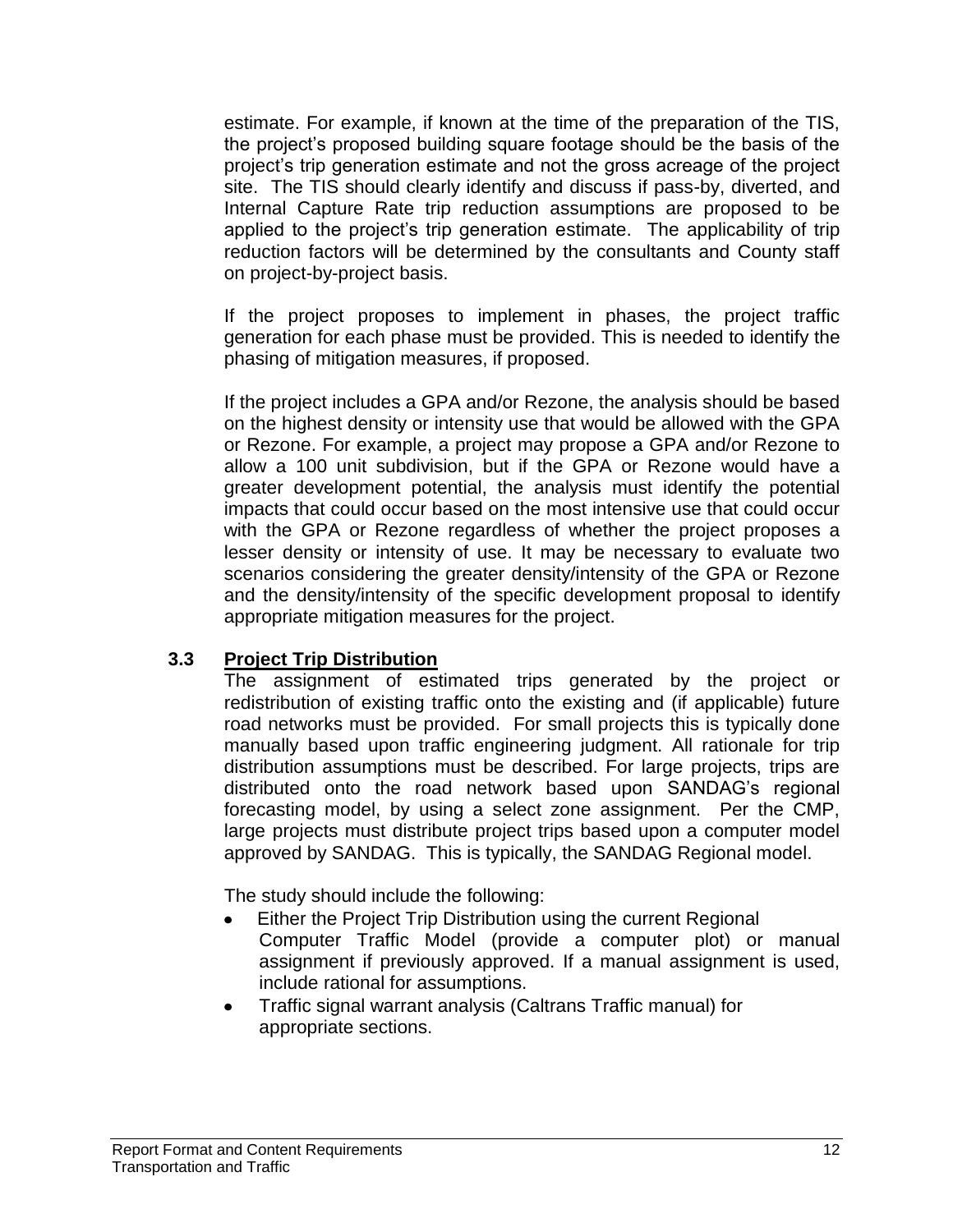estimate. For example, if known at the time of the preparation of the TIS, the project's proposed building square footage should be the basis of the project's trip generation estimate and not the gross acreage of the project site. The TIS should clearly identify and discuss if pass-by, diverted, and Internal Capture Rate trip reduction assumptions are proposed to be applied to the project's trip generation estimate. The applicability of trip reduction factors will be determined by the consultants and County staff on project-by-project basis.

If the project proposes to implement in phases, the project traffic generation for each phase must be provided. This is needed to identify the phasing of mitigation measures, if proposed.

If the project includes a GPA and/or Rezone, the analysis should be based on the highest density or intensity use that would be allowed with the GPA or Rezone. For example, a project may propose a GPA and/or Rezone to allow a 100 unit subdivision, but if the GPA or Rezone would have a greater development potential, the analysis must identify the potential impacts that could occur based on the most intensive use that could occur with the GPA or Rezone regardless of whether the project proposes a lesser density or intensity of use. It may be necessary to evaluate two scenarios considering the greater density/intensity of the GPA or Rezone and the density/intensity of the specific development proposal to identify appropriate mitigation measures for the project.

#### **3.3 Project Trip Distribution**

The assignment of estimated trips generated by the project or redistribution of existing traffic onto the existing and (if applicable) future road networks must be provided. For small projects this is typically done manually based upon traffic engineering judgment. All rationale for trip distribution assumptions must be described. For large projects, trips are distributed onto the road network based upon SANDAG's regional forecasting model, by using a select zone assignment. Per the CMP, large projects must distribute project trips based upon a computer model approved by SANDAG. This is typically, the SANDAG Regional model.

The study should include the following:

- Either the Project Trip Distribution using the current Regional Computer Traffic Model (provide a computer plot) or manual assignment if previously approved. If a manual assignment is used, include rational for assumptions.
- Traffic signal warrant analysis (Caltrans Traffic manual) for appropriate sections.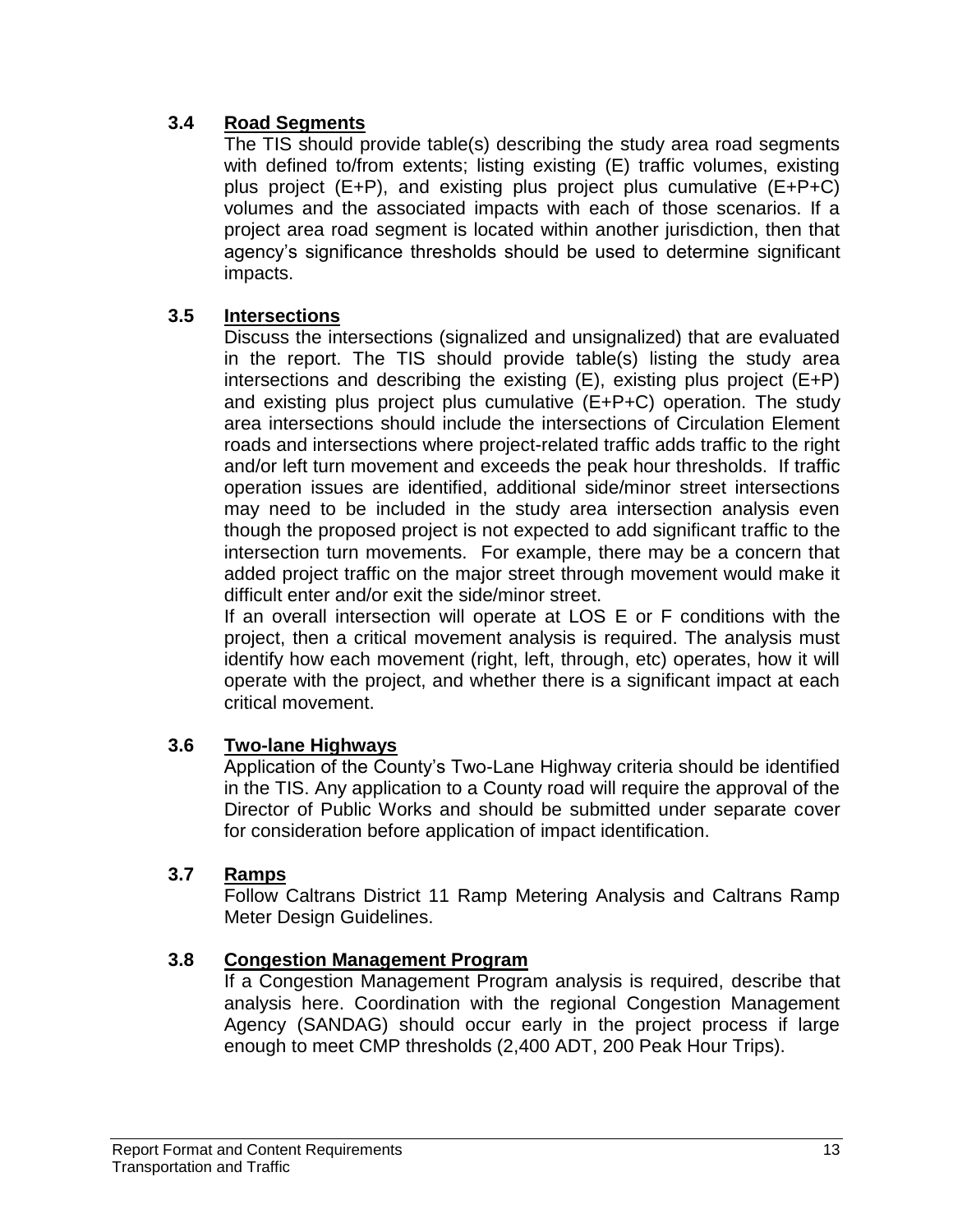#### **3.4 Road Segments**

The TIS should provide table(s) describing the study area road segments with defined to/from extents; listing existing (E) traffic volumes, existing plus project (E+P), and existing plus project plus cumulative (E+P+C) volumes and the associated impacts with each of those scenarios. If a project area road segment is located within another jurisdiction, then that agency's significance thresholds should be used to determine significant impacts.

#### **3.5 Intersections**

Discuss the intersections (signalized and unsignalized) that are evaluated in the report. The TIS should provide table(s) listing the study area intersections and describing the existing (E), existing plus project (E+P) and existing plus project plus cumulative (E+P+C) operation. The study area intersections should include the intersections of Circulation Element roads and intersections where project-related traffic adds traffic to the right and/or left turn movement and exceeds the peak hour thresholds. If traffic operation issues are identified, additional side/minor street intersections may need to be included in the study area intersection analysis even though the proposed project is not expected to add significant traffic to the intersection turn movements. For example, there may be a concern that added project traffic on the major street through movement would make it difficult enter and/or exit the side/minor street.

If an overall intersection will operate at LOS E or F conditions with the project, then a critical movement analysis is required. The analysis must identify how each movement (right, left, through, etc) operates, how it will operate with the project, and whether there is a significant impact at each critical movement.

#### **3.6 Two-lane Highways**

Application of the County's Two-Lane Highway criteria should be identified in the TIS. Any application to a County road will require the approval of the Director of Public Works and should be submitted under separate cover for consideration before application of impact identification.

#### **3.7 Ramps**

Follow Caltrans District 11 Ramp Metering Analysis and Caltrans Ramp Meter Design Guidelines.

#### **3.8 Congestion Management Program**

If a Congestion Management Program analysis is required, describe that analysis here. Coordination with the regional Congestion Management Agency (SANDAG) should occur early in the project process if large enough to meet CMP thresholds (2,400 ADT, 200 Peak Hour Trips).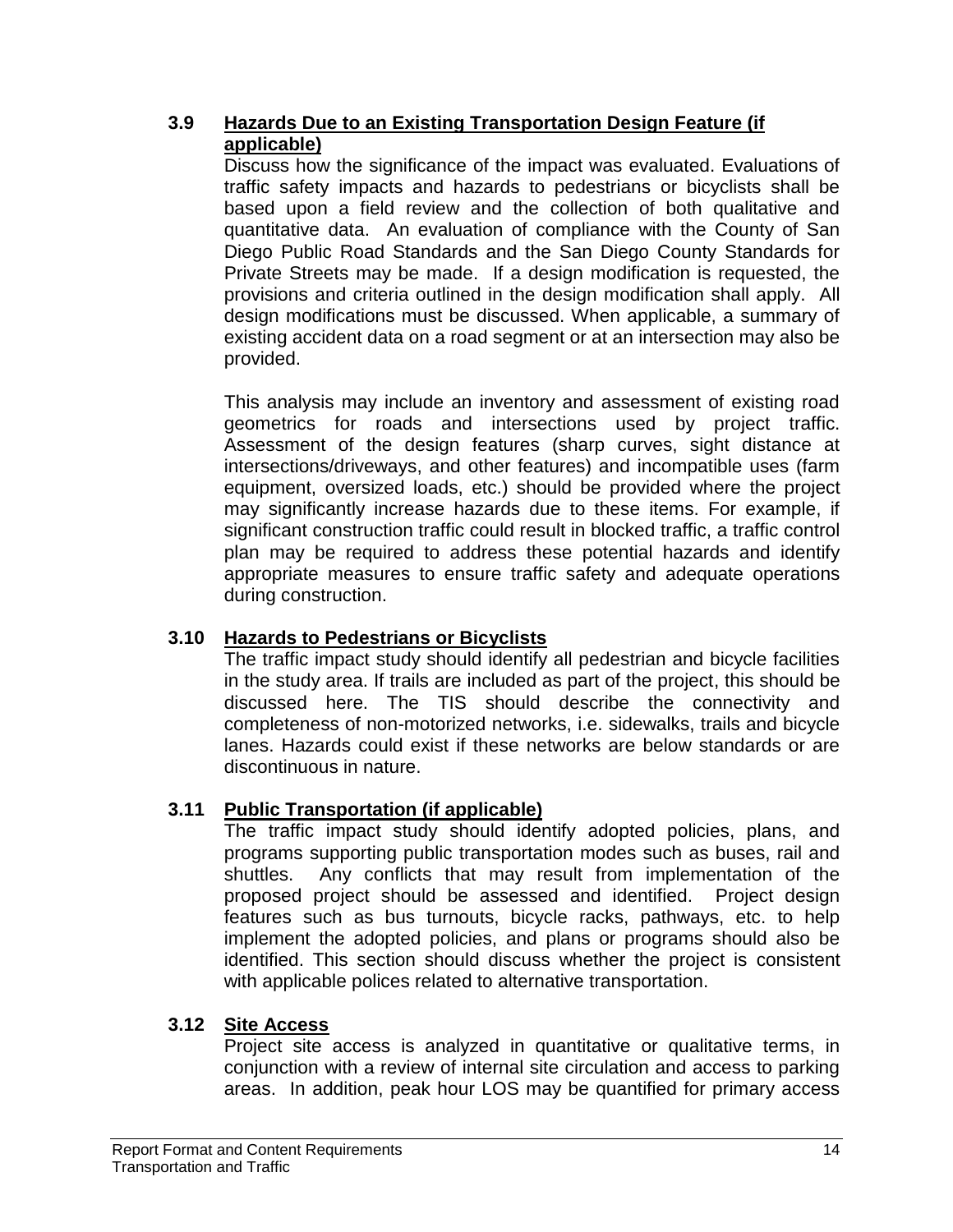### **3.9 Hazards Due to an Existing Transportation Design Feature (if applicable)**

Discuss how the significance of the impact was evaluated. Evaluations of traffic safety impacts and hazards to pedestrians or bicyclists shall be based upon a field review and the collection of both qualitative and quantitative data. An evaluation of compliance with the County of San Diego Public Road Standards and the San Diego County Standards for Private Streets may be made. If a design modification is requested, the provisions and criteria outlined in the design modification shall apply. All design modifications must be discussed. When applicable, a summary of existing accident data on a road segment or at an intersection may also be provided.

This analysis may include an inventory and assessment of existing road geometrics for roads and intersections used by project traffic. Assessment of the design features (sharp curves, sight distance at intersections/driveways, and other features) and incompatible uses (farm equipment, oversized loads, etc.) should be provided where the project may significantly increase hazards due to these items. For example, if significant construction traffic could result in blocked traffic, a traffic control plan may be required to address these potential hazards and identify appropriate measures to ensure traffic safety and adequate operations during construction.

### **3.10 Hazards to Pedestrians or Bicyclists**

The traffic impact study should identify all pedestrian and bicycle facilities in the study area. If trails are included as part of the project, this should be discussed here. The TIS should describe the connectivity and completeness of non-motorized networks, i.e. sidewalks, trails and bicycle lanes. Hazards could exist if these networks are below standards or are discontinuous in nature.

## **3.11 Public Transportation (if applicable)**

The traffic impact study should identify adopted policies, plans, and programs supporting public transportation modes such as buses, rail and shuttles. Any conflicts that may result from implementation of the proposed project should be assessed and identified. Project design features such as bus turnouts, bicycle racks, pathways, etc. to help implement the adopted policies, and plans or programs should also be identified. This section should discuss whether the project is consistent with applicable polices related to alternative transportation.

### **3.12 Site Access**

Project site access is analyzed in quantitative or qualitative terms, in conjunction with a review of internal site circulation and access to parking areas. In addition, peak hour LOS may be quantified for primary access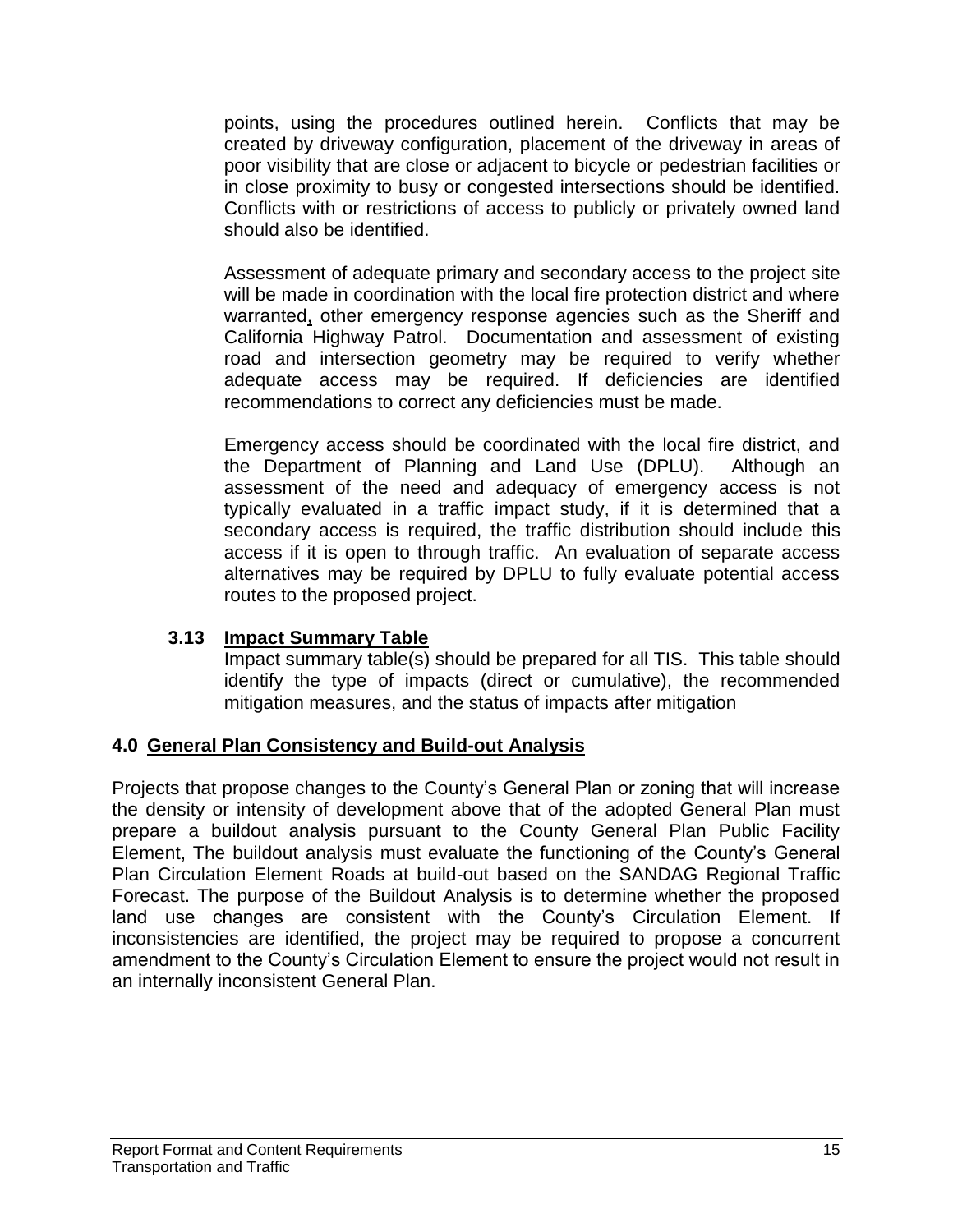points, using the procedures outlined herein. Conflicts that may be created by driveway configuration, placement of the driveway in areas of poor visibility that are close or adjacent to bicycle or pedestrian facilities or in close proximity to busy or congested intersections should be identified. Conflicts with or restrictions of access to publicly or privately owned land should also be identified.

Assessment of adequate primary and secondary access to the project site will be made in coordination with the local fire protection district and where warranted, other emergency response agencies such as the Sheriff and California Highway Patrol. Documentation and assessment of existing road and intersection geometry may be required to verify whether adequate access may be required. If deficiencies are identified recommendations to correct any deficiencies must be made.

Emergency access should be coordinated with the local fire district, and the Department of Planning and Land Use (DPLU). Although an assessment of the need and adequacy of emergency access is not typically evaluated in a traffic impact study, if it is determined that a secondary access is required, the traffic distribution should include this access if it is open to through traffic. An evaluation of separate access alternatives may be required by DPLU to fully evaluate potential access routes to the proposed project.

### **3.13 Impact Summary Table**

Impact summary table(s) should be prepared for all TIS. This table should identify the type of impacts (direct or cumulative), the recommended mitigation measures, and the status of impacts after mitigation

### **4.0 General Plan Consistency and Build-out Analysis**

Projects that propose changes to the County's General Plan or zoning that will increase the density or intensity of development above that of the adopted General Plan must prepare a buildout analysis pursuant to the County General Plan Public Facility Element, The buildout analysis must evaluate the functioning of the County's General Plan Circulation Element Roads at build-out based on the SANDAG Regional Traffic Forecast. The purpose of the Buildout Analysis is to determine whether the proposed land use changes are consistent with the County's Circulation Element. If inconsistencies are identified, the project may be required to propose a concurrent amendment to the County's Circulation Element to ensure the project would not result in an internally inconsistent General Plan.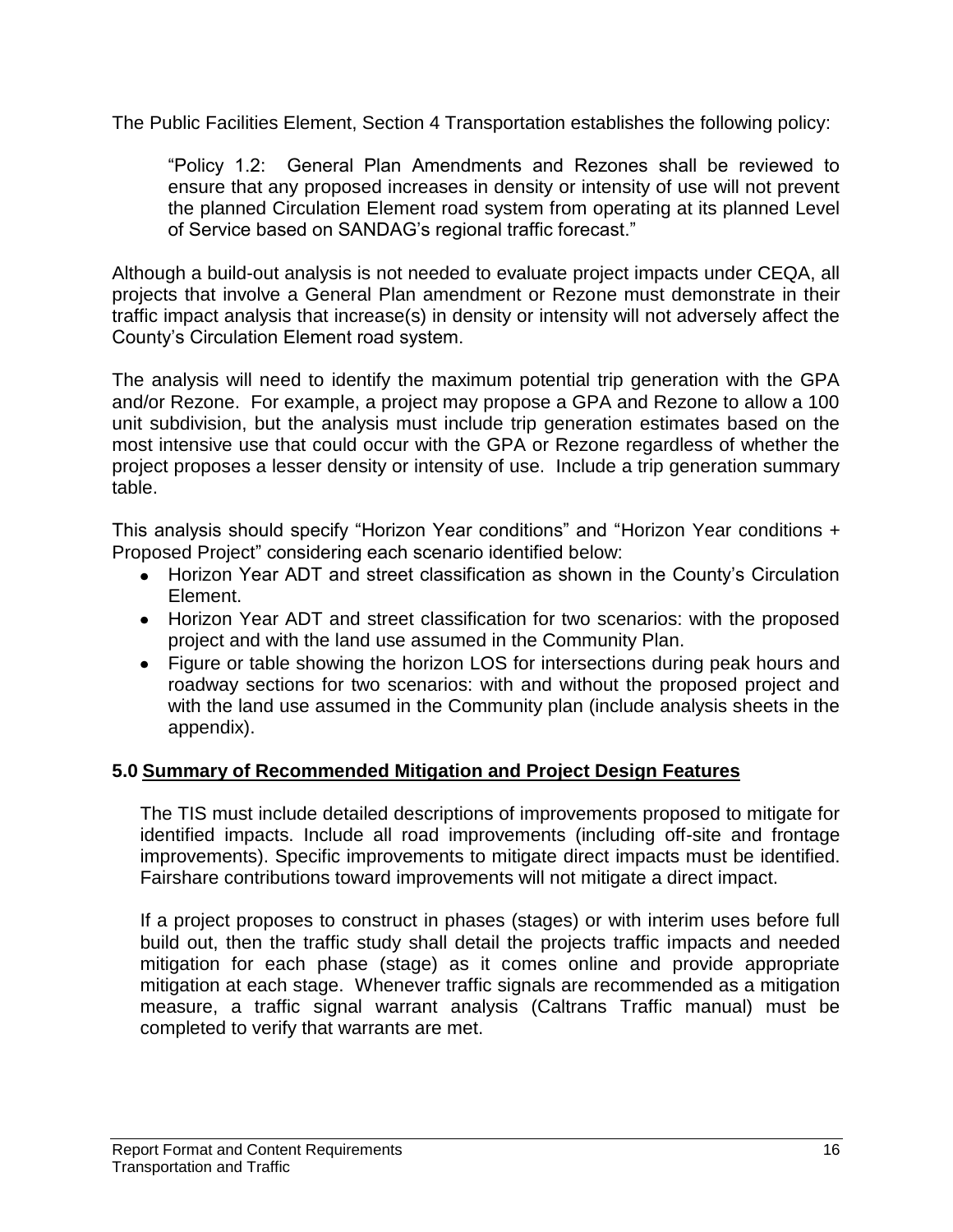The Public Facilities Element, Section 4 Transportation establishes the following policy:

"Policy 1.2: General Plan Amendments and Rezones shall be reviewed to ensure that any proposed increases in density or intensity of use will not prevent the planned Circulation Element road system from operating at its planned Level of Service based on SANDAG's regional traffic forecast."

Although a build-out analysis is not needed to evaluate project impacts under CEQA, all projects that involve a General Plan amendment or Rezone must demonstrate in their traffic impact analysis that increase(s) in density or intensity will not adversely affect the County's Circulation Element road system.

The analysis will need to identify the maximum potential trip generation with the GPA and/or Rezone. For example, a project may propose a GPA and Rezone to allow a 100 unit subdivision, but the analysis must include trip generation estimates based on the most intensive use that could occur with the GPA or Rezone regardless of whether the project proposes a lesser density or intensity of use. Include a trip generation summary table.

This analysis should specify "Horizon Year conditions" and "Horizon Year conditions + Proposed Project" considering each scenario identified below:

- Horizon Year ADT and street classification as shown in the County's Circulation Element.
- Horizon Year ADT and street classification for two scenarios: with the proposed project and with the land use assumed in the Community Plan.
- Figure or table showing the horizon LOS for intersections during peak hours and roadway sections for two scenarios: with and without the proposed project and with the land use assumed in the Community plan (include analysis sheets in the appendix).

### **5.0 Summary of Recommended Mitigation and Project Design Features**

The TIS must include detailed descriptions of improvements proposed to mitigate for identified impacts. Include all road improvements (including off-site and frontage improvements). Specific improvements to mitigate direct impacts must be identified. Fairshare contributions toward improvements will not mitigate a direct impact.

If a project proposes to construct in phases (stages) or with interim uses before full build out, then the traffic study shall detail the projects traffic impacts and needed mitigation for each phase (stage) as it comes online and provide appropriate mitigation at each stage. Whenever traffic signals are recommended as a mitigation measure, a traffic signal warrant analysis (Caltrans Traffic manual) must be completed to verify that warrants are met.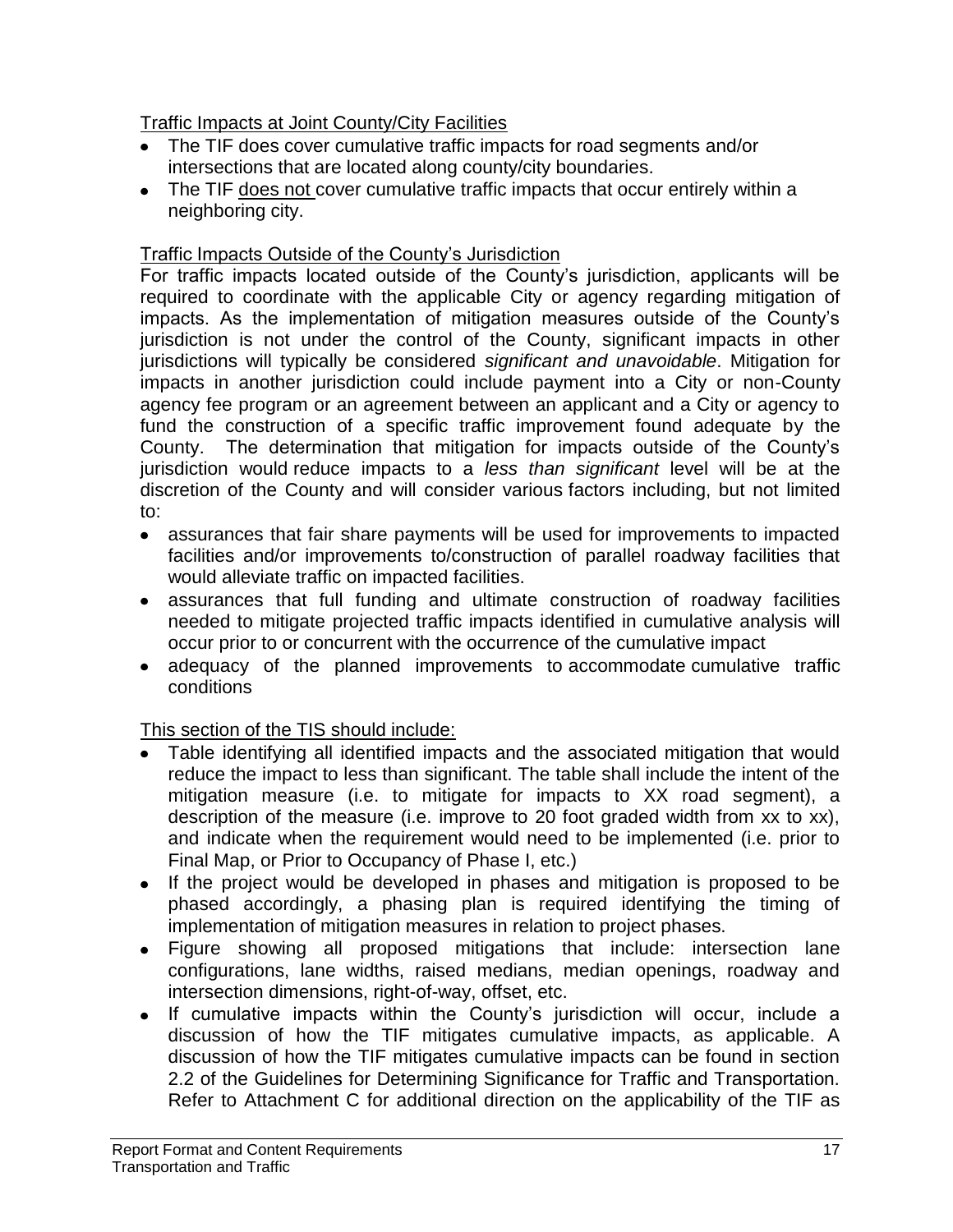## Traffic Impacts at Joint County/City Facilities

- The TIF does cover cumulative traffic impacts for road segments and/or intersections that are located along county/city boundaries.
- The TIF does not cover cumulative traffic impacts that occur entirely within a neighboring city.

## Traffic Impacts Outside of the County's Jurisdiction

For traffic impacts located outside of the County's jurisdiction, applicants will be required to coordinate with the applicable City or agency regarding mitigation of impacts. As the implementation of mitigation measures outside of the County's jurisdiction is not under the control of the County, significant impacts in other jurisdictions will typically be considered *significant and unavoidable*. Mitigation for impacts in another jurisdiction could include payment into a City or non-County agency fee program or an agreement between an applicant and a City or agency to fund the construction of a specific traffic improvement found adequate by the County. The determination that mitigation for impacts outside of the County's jurisdiction would reduce impacts to a *less than significant* level will be at the discretion of the County and will consider various factors including, but not limited to:

- assurances that fair share payments will be used for improvements to impacted facilities and/or improvements to/construction of parallel roadway facilities that would alleviate traffic on impacted facilities.
- assurances that full funding and ultimate construction of roadway facilities needed to mitigate projected traffic impacts identified in cumulative analysis will occur prior to or concurrent with the occurrence of the cumulative impact
- adequacy of the planned improvements to accommodate cumulative traffic conditions

This section of the TIS should include:

- Table identifying all identified impacts and the associated mitigation that would reduce the impact to less than significant. The table shall include the intent of the mitigation measure (i.e. to mitigate for impacts to XX road segment), a description of the measure (i.e. improve to 20 foot graded width from xx to xx), and indicate when the requirement would need to be implemented (i.e. prior to Final Map, or Prior to Occupancy of Phase I, etc.)
- If the project would be developed in phases and mitigation is proposed to be phased accordingly, a phasing plan is required identifying the timing of implementation of mitigation measures in relation to project phases.
- Figure showing all proposed mitigations that include: intersection lane configurations, lane widths, raised medians, median openings, roadway and intersection dimensions, right-of-way, offset, etc.
- If cumulative impacts within the County's jurisdiction will occur, include a  $\bullet$ discussion of how the TIF mitigates cumulative impacts, as applicable. A discussion of how the TIF mitigates cumulative impacts can be found in section 2.2 of the Guidelines for Determining Significance for Traffic and Transportation. Refer to Attachment C for additional direction on the applicability of the TIF as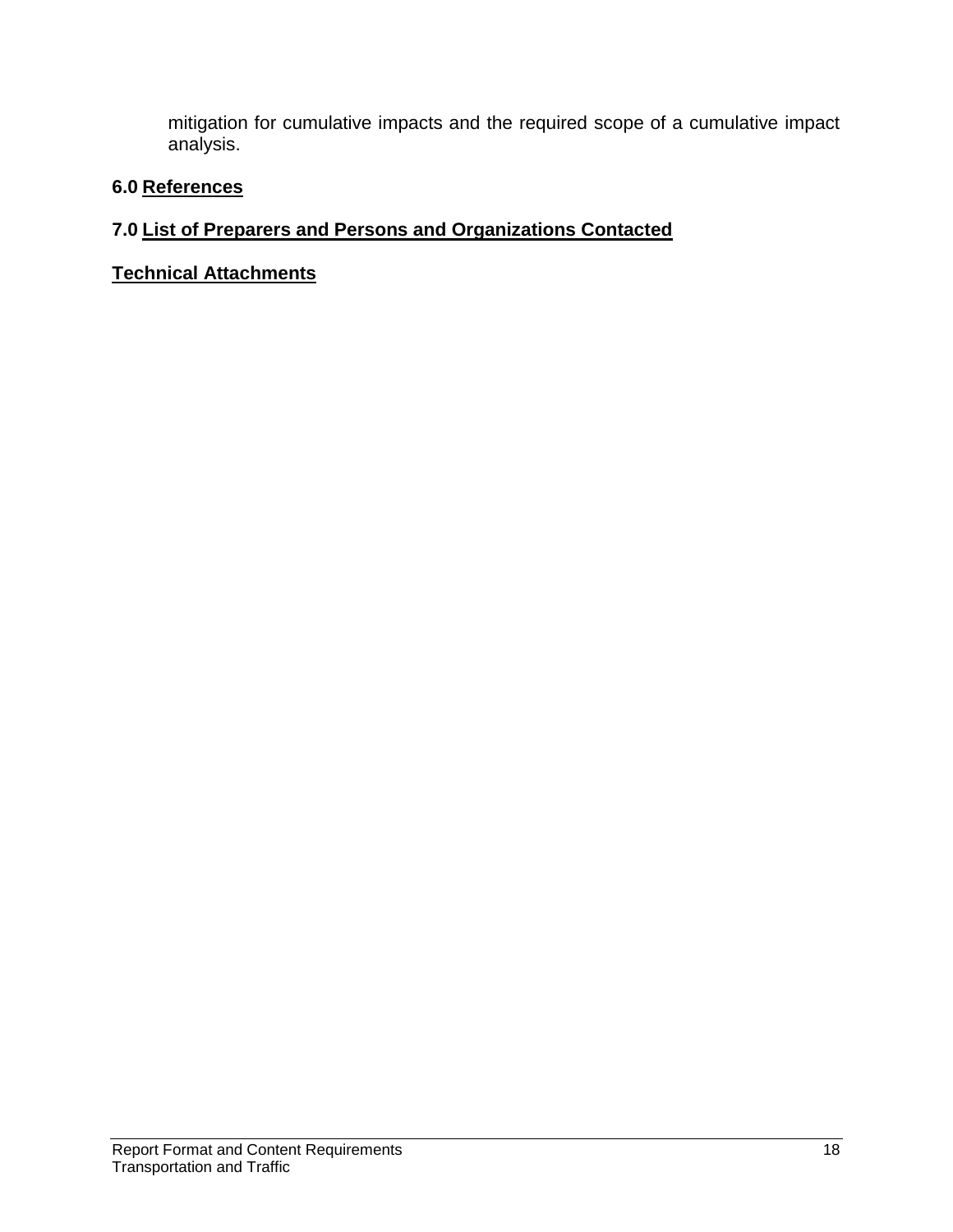mitigation for cumulative impacts and the required scope of a cumulative impact analysis.

#### **6.0 References**

### **7.0 List of Preparers and Persons and Organizations Contacted**

**Technical Attachments**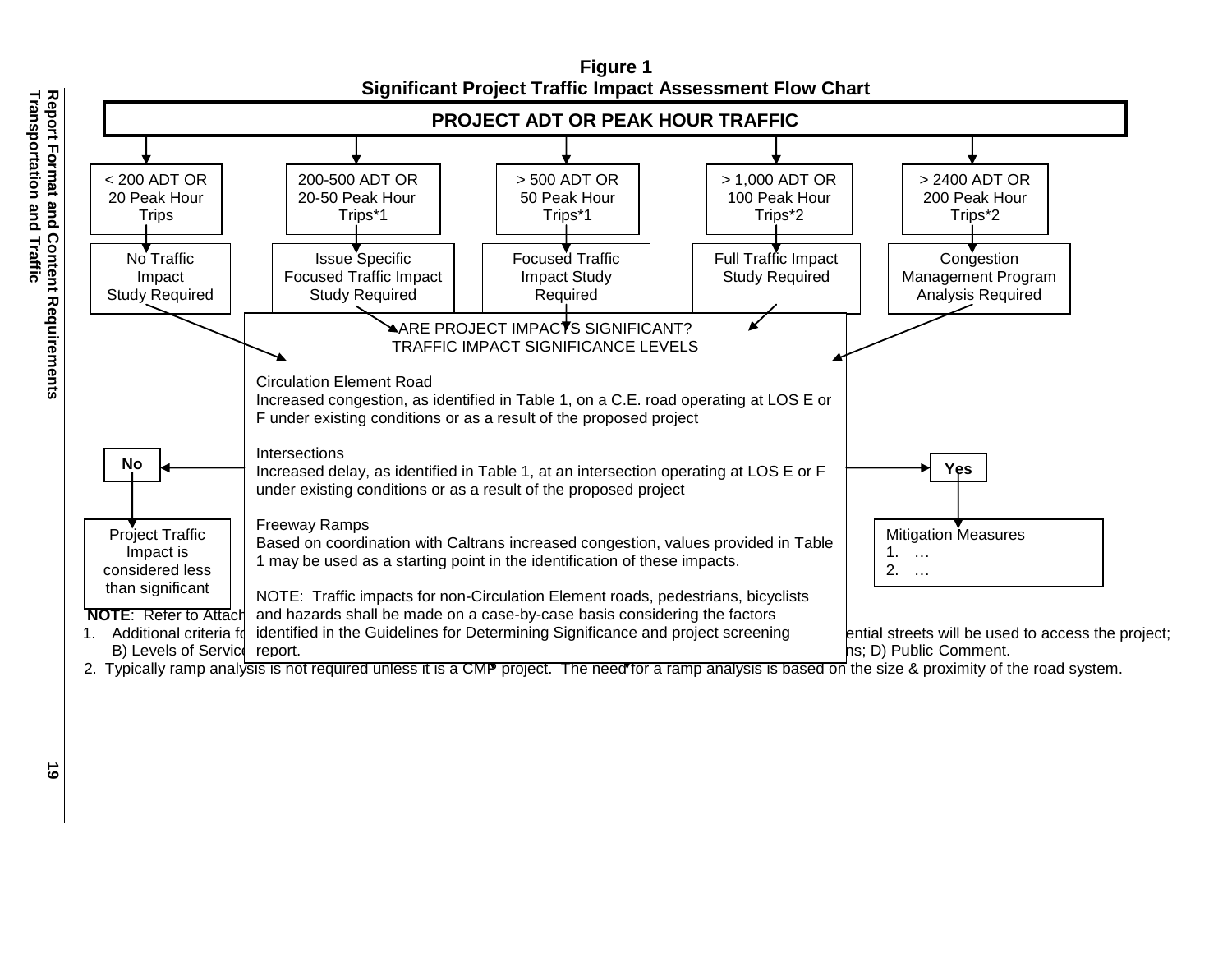

**Figure 1 Significant Project Traffic Impact Assessment Flow Chart**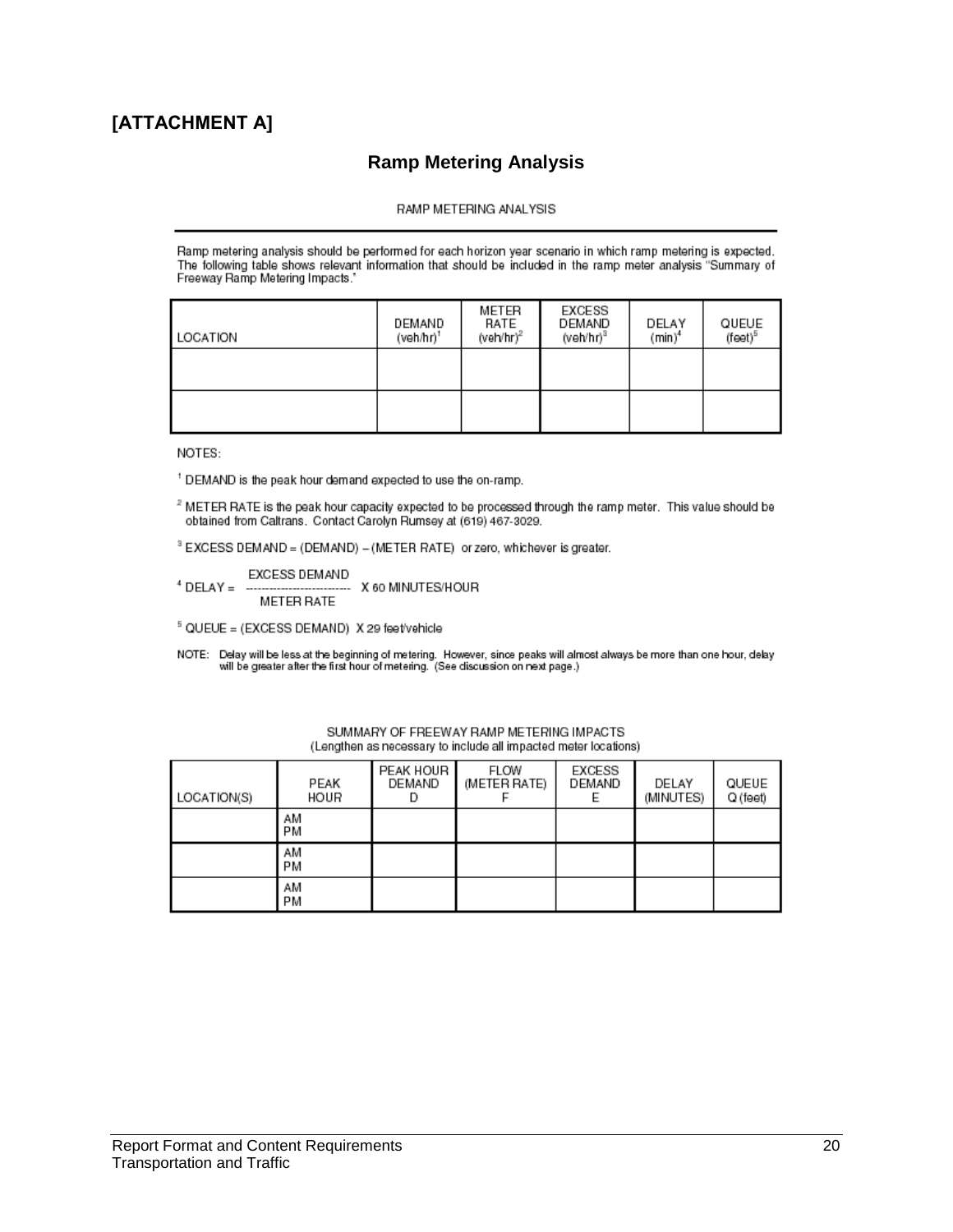### **[ATTACHMENT A]**

#### **Ramp Metering Analysis**

#### RAMP METERING ANALYSIS

Ramp metering analysis should be performed for each horizon year scenario in which ramp metering is expected. The following table shows relevant information that should be included in the ramp meter analysis "Summary of Freeway Ramp Metering Impacts."

| LOCATION | DEMAND<br>(veh/hr)1 | METER<br>RATE<br>(veh/hr) <sup>2</sup> | EXCESS<br>DEMAND<br>(veh/hr) $^3$ | DELAY<br>$(min)^4$ | QUEUE<br>(feet) <sup>5</sup> |
|----------|---------------------|----------------------------------------|-----------------------------------|--------------------|------------------------------|
|          |                     |                                        |                                   |                    |                              |
|          |                     |                                        |                                   |                    |                              |

NOTES:

<sup>1</sup> DEMAND is the peak hour demand expected to use the on-ramp.

<sup>2</sup> METER RATE is the peak hour capacity expected to be processed through the ramp meter. This value should be obtained from Caltrans. Contact Carolyn Rumsey at (619) 467-3029.

<sup>3</sup> EXCESS DEMAND = (DEMAND) - (METER RATE) or zero, whichever is greater.

EXCESS DEMAND <sup>4</sup> DELAY = ----------------------------- X 60 MINUTES/HOUR **METER RATE** 

 $5$  QUEUE = (EXCESS DEMAND) X 29 feet/vehicle

NOTE: Delay will be less at the beginning of metering. However, since peaks will almost always be more than one hour, delay<br>will be greater after the first hour of metering. (See discussion on next page.)

| LOCATION(S) | PEAK<br>HOUR | PEAK HOUR<br>DEMAND | FLOW<br>(METER RATE) | EXCESS<br>DEMAND | DELAY<br>(MINUTES) | QUEUE<br>Q (feet) |
|-------------|--------------|---------------------|----------------------|------------------|--------------------|-------------------|
|             | AM<br>РM     |                     |                      |                  |                    |                   |
|             | AM<br>РM     |                     |                      |                  |                    |                   |
|             | AM<br>РM     |                     |                      |                  |                    |                   |

SUMMARY OF FREEWAY RAMP METERING IMPACTS (Lengthen as necessary to include all impacted meter locations)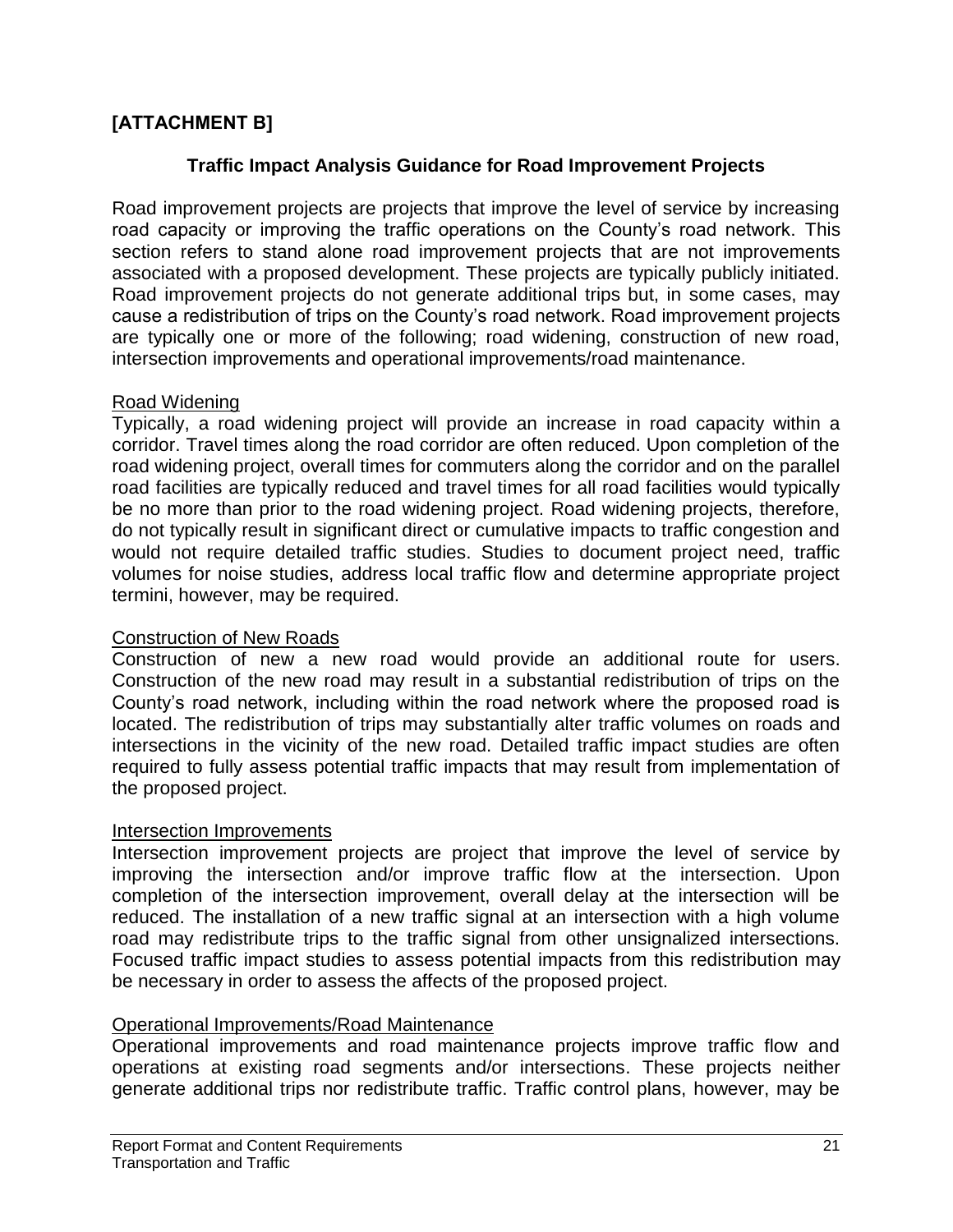### **[ATTACHMENT B]**

#### **Traffic Impact Analysis Guidance for Road Improvement Projects**

Road improvement projects are projects that improve the level of service by increasing road capacity or improving the traffic operations on the County's road network. This section refers to stand alone road improvement projects that are not improvements associated with a proposed development. These projects are typically publicly initiated. Road improvement projects do not generate additional trips but, in some cases, may cause a redistribution of trips on the County's road network. Road improvement projects are typically one or more of the following; road widening, construction of new road, intersection improvements and operational improvements/road maintenance.

#### Road Widening

Typically, a road widening project will provide an increase in road capacity within a corridor. Travel times along the road corridor are often reduced. Upon completion of the road widening project, overall times for commuters along the corridor and on the parallel road facilities are typically reduced and travel times for all road facilities would typically be no more than prior to the road widening project. Road widening projects, therefore, do not typically result in significant direct or cumulative impacts to traffic congestion and would not require detailed traffic studies. Studies to document project need, traffic volumes for noise studies, address local traffic flow and determine appropriate project termini, however, may be required.

#### Construction of New Roads

Construction of new a new road would provide an additional route for users. Construction of the new road may result in a substantial redistribution of trips on the County's road network, including within the road network where the proposed road is located. The redistribution of trips may substantially alter traffic volumes on roads and intersections in the vicinity of the new road. Detailed traffic impact studies are often required to fully assess potential traffic impacts that may result from implementation of the proposed project.

#### Intersection Improvements

Intersection improvement projects are project that improve the level of service by improving the intersection and/or improve traffic flow at the intersection. Upon completion of the intersection improvement, overall delay at the intersection will be reduced. The installation of a new traffic signal at an intersection with a high volume road may redistribute trips to the traffic signal from other unsignalized intersections. Focused traffic impact studies to assess potential impacts from this redistribution may be necessary in order to assess the affects of the proposed project.

#### Operational Improvements/Road Maintenance

Operational improvements and road maintenance projects improve traffic flow and operations at existing road segments and/or intersections. These projects neither generate additional trips nor redistribute traffic. Traffic control plans, however, may be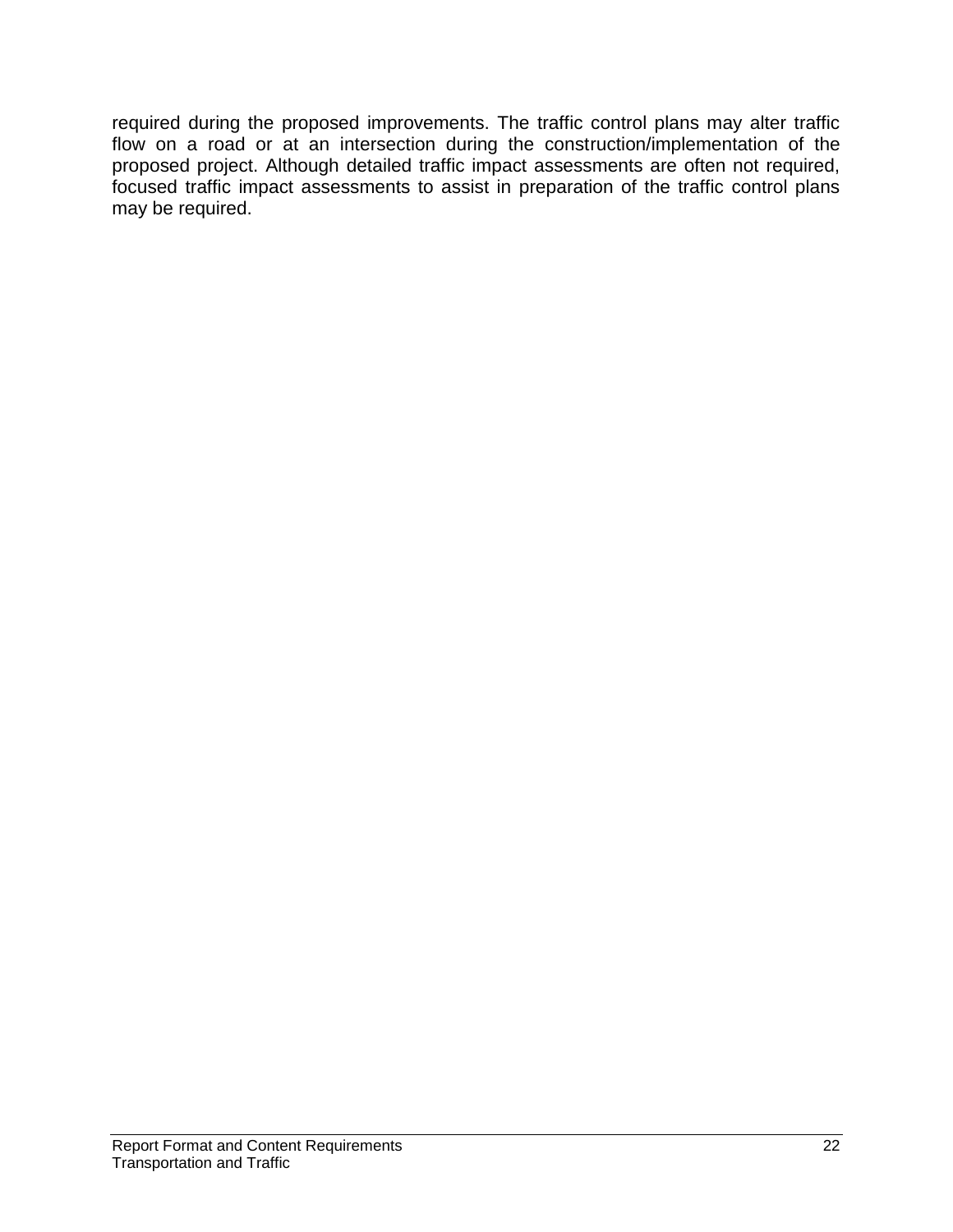required during the proposed improvements. The traffic control plans may alter traffic flow on a road or at an intersection during the construction/implementation of the proposed project. Although detailed traffic impact assessments are often not required, focused traffic impact assessments to assist in preparation of the traffic control plans may be required.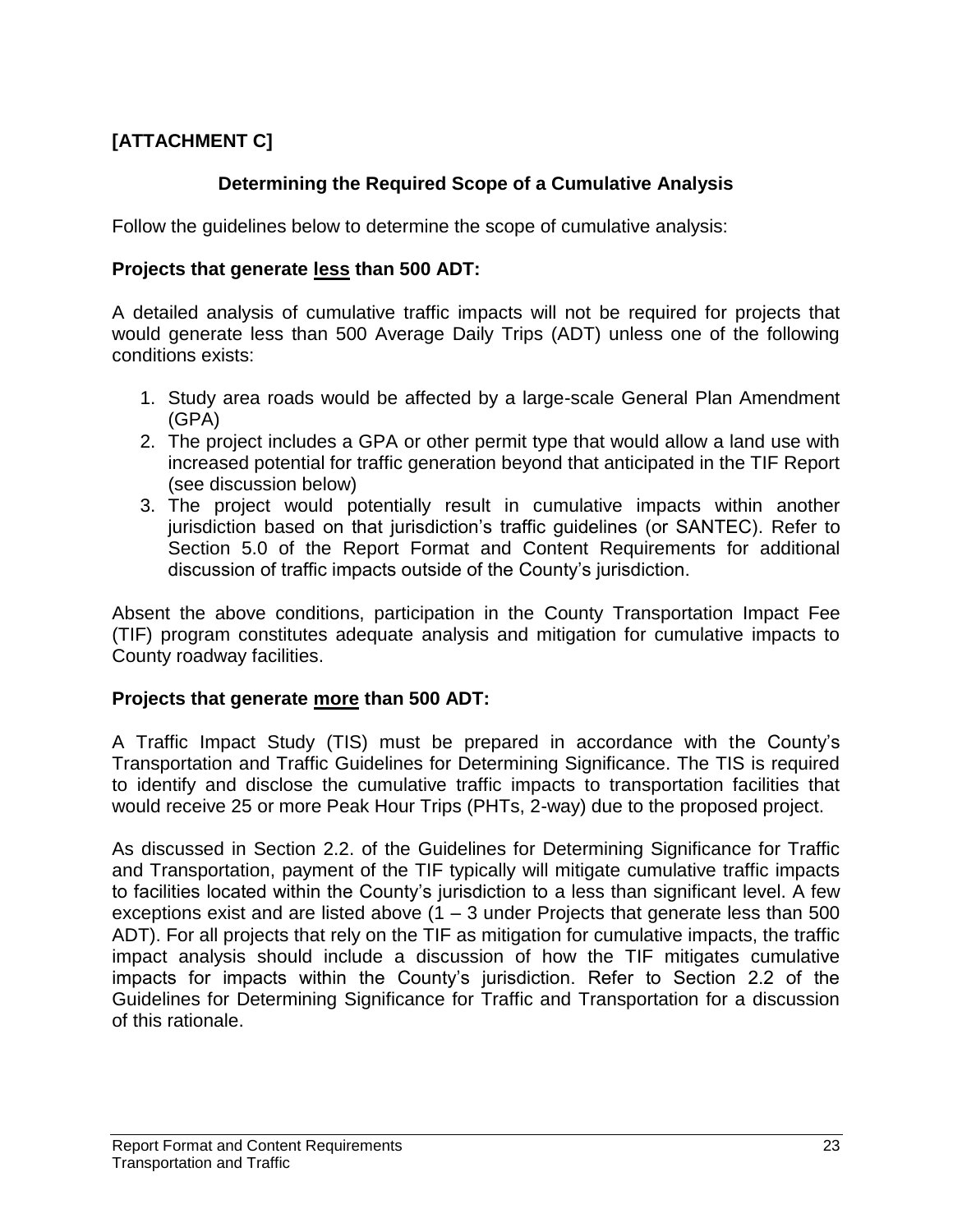## **[ATTACHMENT C]**

## **Determining the Required Scope of a Cumulative Analysis**

Follow the guidelines below to determine the scope of cumulative analysis:

#### **Projects that generate less than 500 ADT:**

A detailed analysis of cumulative traffic impacts will not be required for projects that would generate less than 500 Average Daily Trips (ADT) unless one of the following conditions exists:

- 1. Study area roads would be affected by a large-scale General Plan Amendment (GPA)
- 2. The project includes a GPA or other permit type that would allow a land use with increased potential for traffic generation beyond that anticipated in the TIF Report (see discussion below)
- 3. The project would potentially result in cumulative impacts within another jurisdiction based on that jurisdiction's traffic guidelines (or SANTEC). Refer to Section 5.0 of the Report Format and Content Requirements for additional discussion of traffic impacts outside of the County's jurisdiction.

Absent the above conditions, participation in the County Transportation Impact Fee (TIF) program constitutes adequate analysis and mitigation for cumulative impacts to County roadway facilities.

#### **Projects that generate more than 500 ADT:**

A Traffic Impact Study (TIS) must be prepared in accordance with the County's Transportation and Traffic Guidelines for Determining Significance. The TIS is required to identify and disclose the cumulative traffic impacts to transportation facilities that would receive 25 or more Peak Hour Trips (PHTs, 2-way) due to the proposed project.

As discussed in Section 2.2. of the Guidelines for Determining Significance for Traffic and Transportation, payment of the TIF typically will mitigate cumulative traffic impacts to facilities located within the County's jurisdiction to a less than significant level. A few exceptions exist and are listed above  $(1 - 3$  under Projects that generate less than 500 ADT). For all projects that rely on the TIF as mitigation for cumulative impacts, the traffic impact analysis should include a discussion of how the TIF mitigates cumulative impacts for impacts within the County's jurisdiction. Refer to Section 2.2 of the Guidelines for Determining Significance for Traffic and Transportation for a discussion of this rationale.